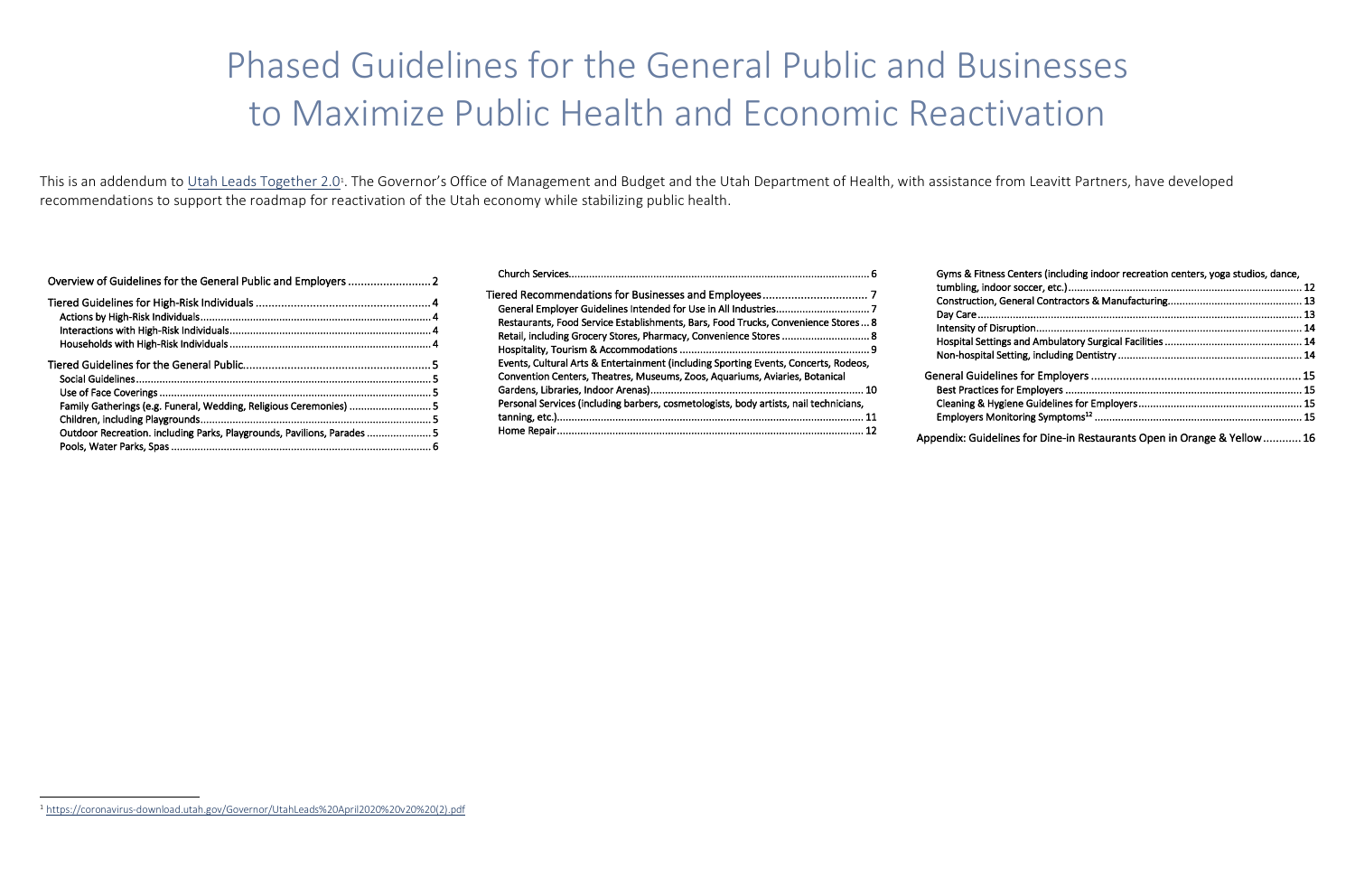This is an addendum to Utah Leads Together 2.0<sup>1</sup>. The Governor's Office of Management and Budget and the Utah Department of Health, with assistance from Leavitt Partners, have developed recommendations to support the roadmap for reactivation of the Utah economy while stabilizing public health.

| Family Gatherings (e.g. Funeral, Wedding, Religious Ceremonies)  5    |  |
|-----------------------------------------------------------------------|--|
|                                                                       |  |
| Outdoor Recreation. including Parks, Playgrounds, Pavilions, Parades5 |  |
|                                                                       |  |
|                                                                       |  |

| Gyms & Fitness Centers (including indoor recreation centers, yoga studios, dance, |  |
|-----------------------------------------------------------------------------------|--|
|                                                                                   |  |
|                                                                                   |  |
|                                                                                   |  |
|                                                                                   |  |
|                                                                                   |  |
|                                                                                   |  |
|                                                                                   |  |
|                                                                                   |  |
|                                                                                   |  |
| endix: Guidelines for Dine-in Restaurants Open in Orange & Yellow 16              |  |

|                                                                                                                                                                                                                                               | Gyms & Fitnes                                                                                               |
|-----------------------------------------------------------------------------------------------------------------------------------------------------------------------------------------------------------------------------------------------|-------------------------------------------------------------------------------------------------------------|
| Restaurants, Food Service Establishments, Bars, Food Trucks, Convenience Stores 8<br>Retail, including Grocery Stores, Pharmacy, Convenience Stores  8<br>Events, Cultural Arts & Entertainment (including Sporting Events, Concerts, Rodeos, | tumbling, indo<br>Construction,<br>Day Care<br>Intensity of Dis<br><b>Hospital Settir</b><br>Non-hospital S |
| Convention Centers, Theatres, Museums, Zoos, Aquariums, Aviaries, Botanical                                                                                                                                                                   | <b>General Guideli</b>                                                                                      |
|                                                                                                                                                                                                                                               | <b>Best Practices</b>                                                                                       |
| Personal Services (including barbers, cosmetologists, body artists, nail technicians,                                                                                                                                                         | Cleaning & Hy                                                                                               |
|                                                                                                                                                                                                                                               | <b>Employers Mc</b>                                                                                         |
|                                                                                                                                                                                                                                               | Appendix: Guidel                                                                                            |

 $\overline{a}$ <sup>1</sup> https://coronavirus-download.utah.gov/Governor/UtahLeads%20April2020%20v20%20(2).pdf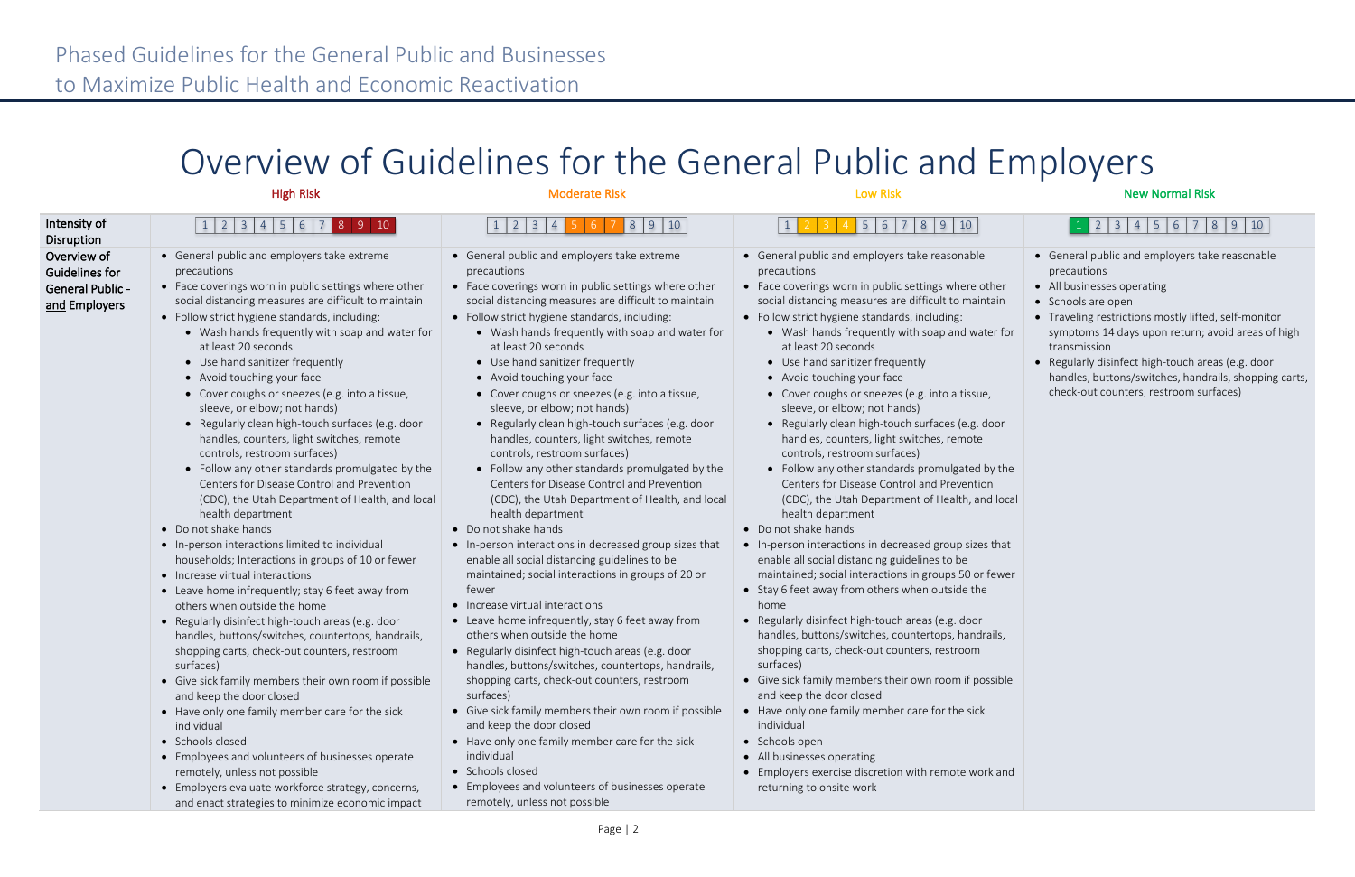# Overview of Guidelines for the General Public and Employers

|                                                                           | <b>High Risk</b>                                                                                                                                                                                                                                                                                                                                                                                                                                                                                                                                                                                                                                                                                                                                                                                                                                                                                                                                                                                                                                                                                                                                                                                                                                                                                                                                                                                                                                                                                                                                                          | <b>Moderate Risk</b>                                                                                                                                                                                                                                                                                                                                                                                                                                                                                                                                                                                                                                                                                                                                                                                                                                                                                                                                                                                                                                                                                                                                                                                                                                                                                                                                                                                                                                                                                                               | <b>Low Risk</b>                                                                                                                                                                                                                                                                                                                                                                                                                                                                                                                                                                                                                                                                                                                                                                                                                                                                                                                                                                                                                                                                                                                                                                                                                                                                                                                                                                                                                                                                                | <b>New Normal Risk</b>                                                                                                                                                                                                                                                                                                                                                                                 |
|---------------------------------------------------------------------------|---------------------------------------------------------------------------------------------------------------------------------------------------------------------------------------------------------------------------------------------------------------------------------------------------------------------------------------------------------------------------------------------------------------------------------------------------------------------------------------------------------------------------------------------------------------------------------------------------------------------------------------------------------------------------------------------------------------------------------------------------------------------------------------------------------------------------------------------------------------------------------------------------------------------------------------------------------------------------------------------------------------------------------------------------------------------------------------------------------------------------------------------------------------------------------------------------------------------------------------------------------------------------------------------------------------------------------------------------------------------------------------------------------------------------------------------------------------------------------------------------------------------------------------------------------------------------|------------------------------------------------------------------------------------------------------------------------------------------------------------------------------------------------------------------------------------------------------------------------------------------------------------------------------------------------------------------------------------------------------------------------------------------------------------------------------------------------------------------------------------------------------------------------------------------------------------------------------------------------------------------------------------------------------------------------------------------------------------------------------------------------------------------------------------------------------------------------------------------------------------------------------------------------------------------------------------------------------------------------------------------------------------------------------------------------------------------------------------------------------------------------------------------------------------------------------------------------------------------------------------------------------------------------------------------------------------------------------------------------------------------------------------------------------------------------------------------------------------------------------------|------------------------------------------------------------------------------------------------------------------------------------------------------------------------------------------------------------------------------------------------------------------------------------------------------------------------------------------------------------------------------------------------------------------------------------------------------------------------------------------------------------------------------------------------------------------------------------------------------------------------------------------------------------------------------------------------------------------------------------------------------------------------------------------------------------------------------------------------------------------------------------------------------------------------------------------------------------------------------------------------------------------------------------------------------------------------------------------------------------------------------------------------------------------------------------------------------------------------------------------------------------------------------------------------------------------------------------------------------------------------------------------------------------------------------------------------------------------------------------------------|--------------------------------------------------------------------------------------------------------------------------------------------------------------------------------------------------------------------------------------------------------------------------------------------------------------------------------------------------------------------------------------------------------|
| Intensity of<br>Disruption                                                | 1 2 3 4 5 6 7 8 9 10                                                                                                                                                                                                                                                                                                                                                                                                                                                                                                                                                                                                                                                                                                                                                                                                                                                                                                                                                                                                                                                                                                                                                                                                                                                                                                                                                                                                                                                                                                                                                      | $1 \mid 2 \mid 3 \mid 4$<br>8910                                                                                                                                                                                                                                                                                                                                                                                                                                                                                                                                                                                                                                                                                                                                                                                                                                                                                                                                                                                                                                                                                                                                                                                                                                                                                                                                                                                                                                                                                                   | 5 6 7 8 9 10                                                                                                                                                                                                                                                                                                                                                                                                                                                                                                                                                                                                                                                                                                                                                                                                                                                                                                                                                                                                                                                                                                                                                                                                                                                                                                                                                                                                                                                                                   | $1$ 2 3 4 5 6 7 8 9 10                                                                                                                                                                                                                                                                                                                                                                                 |
| Overview of<br>Guidelines for<br><b>General Public -</b><br>and Employers | • General public and employers take extreme<br>precautions<br>• Face coverings worn in public settings where other<br>social distancing measures are difficult to maintain<br>• Follow strict hygiene standards, including:<br>• Wash hands frequently with soap and water for<br>at least 20 seconds<br>• Use hand sanitizer frequently<br>• Avoid touching your face<br>• Cover coughs or sneezes (e.g. into a tissue,<br>sleeve, or elbow; not hands)<br>• Regularly clean high-touch surfaces (e.g. door<br>handles, counters, light switches, remote<br>controls, restroom surfaces)<br>• Follow any other standards promulgated by the<br>Centers for Disease Control and Prevention<br>(CDC), the Utah Department of Health, and local<br>health department<br>• Do not shake hands<br>• In-person interactions limited to individual<br>households; Interactions in groups of 10 or fewer<br>• Increase virtual interactions<br>• Leave home infrequently; stay 6 feet away from<br>others when outside the home<br>• Regularly disinfect high-touch areas (e.g. door<br>handles, buttons/switches, countertops, handrails,<br>shopping carts, check-out counters, restroom<br>surfaces)<br>• Give sick family members their own room if possible<br>and keep the door closed<br>• Have only one family member care for the sick<br>individual<br>• Schools closed<br>• Employees and volunteers of businesses operate<br>remotely, unless not possible<br>• Employers evaluate workforce strategy, concerns,<br>and enact strategies to minimize economic impact | • General public and employers take extreme<br>precautions<br>• Face coverings worn in public settings where other<br>social distancing measures are difficult to maintain<br>• Follow strict hygiene standards, including:<br>• Wash hands frequently with soap and water for<br>at least 20 seconds<br>• Use hand sanitizer frequently<br>• Avoid touching your face<br>• Cover coughs or sneezes (e.g. into a tissue,<br>sleeve, or elbow; not hands)<br>• Regularly clean high-touch surfaces (e.g. door<br>handles, counters, light switches, remote<br>controls, restroom surfaces)<br>• Follow any other standards promulgated by the<br>Centers for Disease Control and Prevention<br>(CDC), the Utah Department of Health, and local<br>health department<br>• Do not shake hands<br>. In-person interactions in decreased group sizes that<br>enable all social distancing guidelines to be<br>maintained; social interactions in groups of 20 or<br>fewer<br>• Increase virtual interactions<br>• Leave home infrequently, stay 6 feet away from<br>others when outside the home<br>• Regularly disinfect high-touch areas (e.g. door<br>handles, buttons/switches, countertops, handrails,<br>shopping carts, check-out counters, restroom<br>surfaces)<br>• Give sick family members their own room if possible<br>and keep the door closed<br>• Have only one family member care for the sick<br>individual<br>• Schools closed<br>• Employees and volunteers of businesses operate<br>remotely, unless not possible | • General public and employers take reasonable<br>precautions<br>• Face coverings worn in public settings where other<br>social distancing measures are difficult to maintain<br>• Follow strict hygiene standards, including:<br>• Wash hands frequently with soap and water for<br>at least 20 seconds<br>• Use hand sanitizer frequently<br>• Avoid touching your face<br>• Cover coughs or sneezes (e.g. into a tissue,<br>sleeve, or elbow; not hands)<br>• Regularly clean high-touch surfaces (e.g. door<br>handles, counters, light switches, remote<br>controls, restroom surfaces)<br>• Follow any other standards promulgated by the<br>Centers for Disease Control and Prevention<br>(CDC), the Utah Department of Health, and local<br>health department<br>• Do not shake hands<br>• In-person interactions in decreased group sizes that<br>enable all social distancing guidelines to be<br>maintained; social interactions in groups 50 or fewer<br>• Stay 6 feet away from others when outside the<br>home<br>• Regularly disinfect high-touch areas (e.g. door<br>handles, buttons/switches, countertops, handrails,<br>shopping carts, check-out counters, restroom<br>surfaces)<br>• Give sick family members their own room if possible<br>and keep the door closed<br>• Have only one family member care for the sick<br>individual<br>• Schools open<br>• All businesses operating<br>• Employers exercise discretion with remote work and<br>returning to onsite work | • General public and employers take reasonable<br>precautions<br>• All businesses operating<br>• Schools are open<br>• Traveling restrictions mostly lifted, self-monitor<br>symptoms 14 days upon return; avoid areas of high<br>transmission<br>• Regularly disinfect high-touch areas (e.g. door<br>handles, buttons/switches, handrails, shopping carts,<br>check-out counters, restroom surfaces) |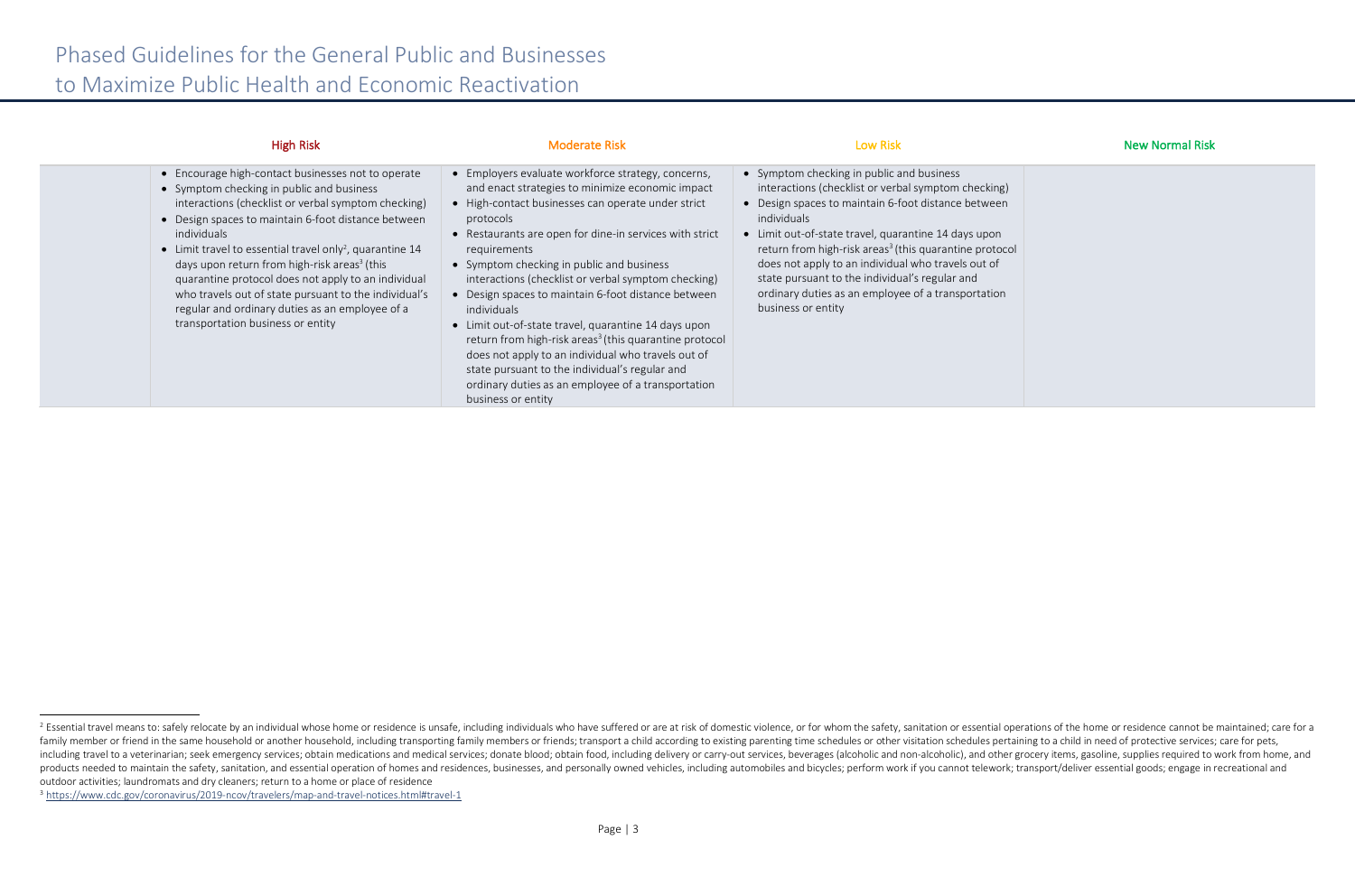| าg)<br>en      |  |  |  |
|----------------|--|--|--|
| n<br>ocol<br>f |  |  |  |
| วท             |  |  |  |

| <b>High Risk</b>                                                                                                                                                                                                                                                                                                                                                                                                                                                                                                                                                         | <b>Moderate Risk</b>                                                                                                                                                                                                                                                                                                                                                                                                                                                                                                                                                                                                                                                                                                                             | <b>Low Risk</b>                                                                                                                                                                                                                                                                                                                                                                                                                                                                          | <b>New Normal Risk</b> |
|--------------------------------------------------------------------------------------------------------------------------------------------------------------------------------------------------------------------------------------------------------------------------------------------------------------------------------------------------------------------------------------------------------------------------------------------------------------------------------------------------------------------------------------------------------------------------|--------------------------------------------------------------------------------------------------------------------------------------------------------------------------------------------------------------------------------------------------------------------------------------------------------------------------------------------------------------------------------------------------------------------------------------------------------------------------------------------------------------------------------------------------------------------------------------------------------------------------------------------------------------------------------------------------------------------------------------------------|------------------------------------------------------------------------------------------------------------------------------------------------------------------------------------------------------------------------------------------------------------------------------------------------------------------------------------------------------------------------------------------------------------------------------------------------------------------------------------------|------------------------|
| • Encourage high-contact businesses not to operate<br>• Symptom checking in public and business<br>interactions (checklist or verbal symptom checking)<br>• Design spaces to maintain 6-foot distance between<br>individuals<br>• Limit travel to essential travel only <sup>2</sup> , quarantine 14<br>days upon return from high-risk areas <sup>3</sup> (this<br>quarantine protocol does not apply to an individual<br>who travels out of state pursuant to the individual's<br>regular and ordinary duties as an employee of a<br>transportation business or entity | • Employers evaluate workforce strategy, concerns,<br>and enact strategies to minimize economic impact<br>• High-contact businesses can operate under strict<br>protocols<br>• Restaurants are open for dine-in services with strict<br>requirements<br>• Symptom checking in public and business<br>interactions (checklist or verbal symptom checking)<br>• Design spaces to maintain 6-foot distance between<br>individuals<br>• Limit out-of-state travel, quarantine 14 days upon<br>return from high-risk areas <sup>3</sup> (this quarantine protocol<br>does not apply to an individual who travels out of<br>state pursuant to the individual's regular and<br>ordinary duties as an employee of a transportation<br>business or entity | • Symptom checking in public and business<br>interactions (checklist or verbal symptom checking)<br>• Design spaces to maintain 6-foot distance between<br>individuals<br>• Limit out-of-state travel, quarantine 14 days upon<br>return from high-risk areas <sup>3</sup> (this quarantine protocol<br>does not apply to an individual who travels out of<br>state pursuant to the individual's regular and<br>ordinary duties as an employee of a transportation<br>business or entity |                        |

<sup>&</sup>lt;sup>2</sup> Essential travel means to: safely relocate by an individual whose home or residence is unsafe, including individuals who have suffered or are at risk of domestic violence, or for whom the safety, sanitation or essentia family member or friend in the same household or another household, including transporting family members or friends; transport a child according to existing parenting time schedules or other visitation schedules pertainin including travel to a veterinarian; seek emergency services; obtain medications and medical services; donate blood; obtain food, including delivery or carry-out services, beverages (alcoholic and non-alcoholic), and other products needed to maintain the safety, sanitation, and essential operation of homes and residences, businesses, and personally owned vehicles, including automobiles and bicycles; perform work if you cannot telework; trans outdoor activities; laundromats and dry cleaners; return to a home or place of residence

<sup>3</sup> https://www.cdc.gov/coronavirus/2019-ncov/travelers/map-and-travel-notices.html#travel-1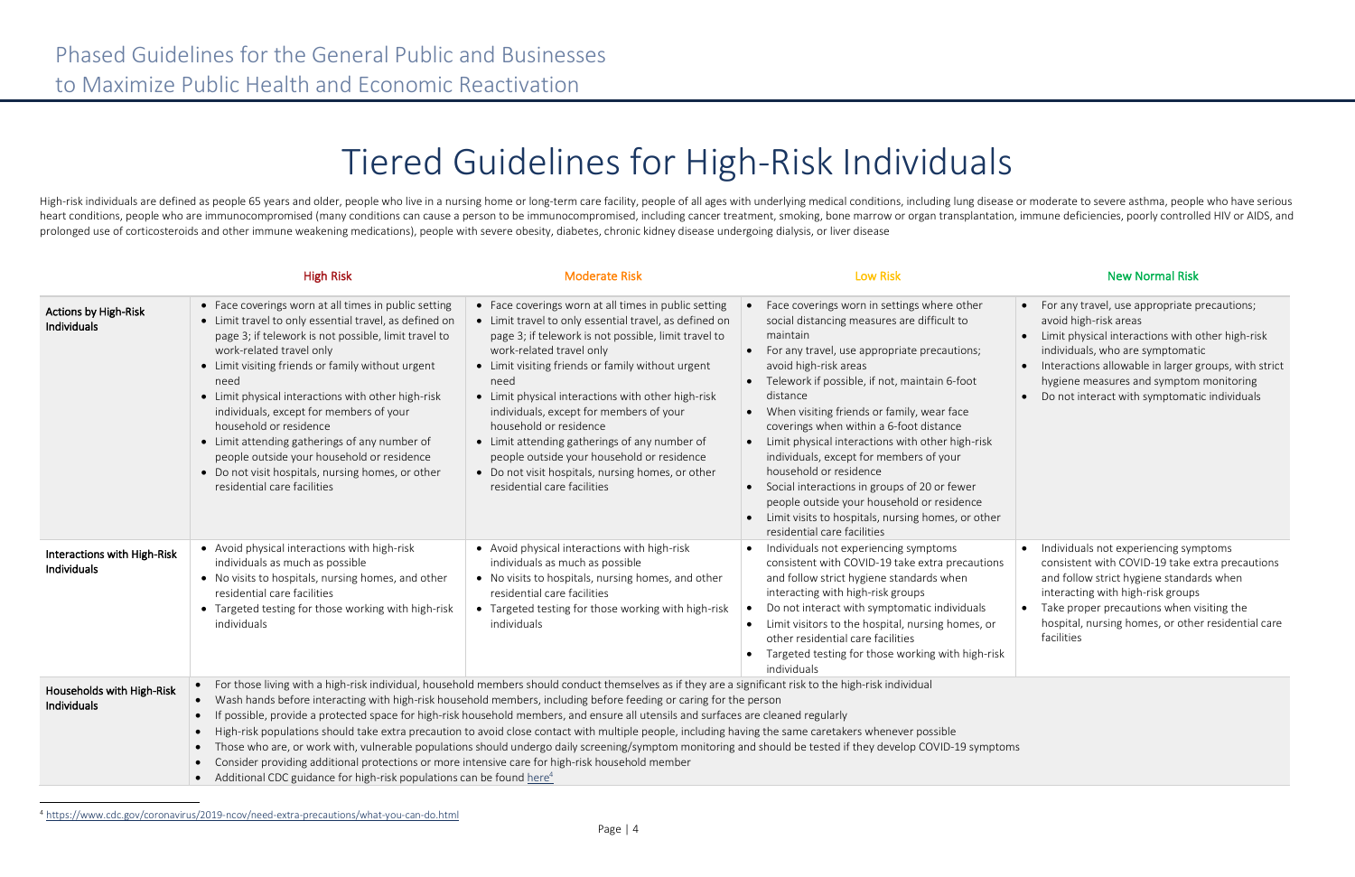# Tiered Guidelines for High-Risk Individuals

High-risk individuals are defined as people 65 years and older, people who live in a nursing home or long-term care facility, people of all ages with underlying medical conditions, including lung disease or moderate to sev heart conditions, people who are immunocompromised (many conditions can cause a person to be immunocompromised, including cancer treatment, smoking, bone marrow or organ transplantation, immune deficiencies, poorly control prolonged use of corticosteroids and other immune weakening medications), people with severe obesity, diabetes, chronic kidney disease undergoing dialysis, or liver disease

|                                                   | <b>High Risk</b>                                                                                                                                                                                                                                                                                                                                                                                                                                                                                                                                                              | <b>Moderate Risk</b>                                                                                                                                                                                                                                                                                                                                                                                                                                                                                                                                                           | <b>Low Risk</b>                                                                                                                                                                                                                                                                                                                                                                                                                                                                                                                                                                                                                                         | <b>New Normal Risk</b>                                                                                                                                                                                                                                      |
|---------------------------------------------------|-------------------------------------------------------------------------------------------------------------------------------------------------------------------------------------------------------------------------------------------------------------------------------------------------------------------------------------------------------------------------------------------------------------------------------------------------------------------------------------------------------------------------------------------------------------------------------|--------------------------------------------------------------------------------------------------------------------------------------------------------------------------------------------------------------------------------------------------------------------------------------------------------------------------------------------------------------------------------------------------------------------------------------------------------------------------------------------------------------------------------------------------------------------------------|---------------------------------------------------------------------------------------------------------------------------------------------------------------------------------------------------------------------------------------------------------------------------------------------------------------------------------------------------------------------------------------------------------------------------------------------------------------------------------------------------------------------------------------------------------------------------------------------------------------------------------------------------------|-------------------------------------------------------------------------------------------------------------------------------------------------------------------------------------------------------------------------------------------------------------|
| <b>Actions by High-Risk</b><br><b>Individuals</b> | • Face coverings worn at all times in public setting<br>• Limit travel to only essential travel, as defined on<br>page 3; if telework is not possible, limit travel to<br>work-related travel only<br>• Limit visiting friends or family without urgent<br>need<br>• Limit physical interactions with other high-risk<br>individuals, except for members of your<br>household or residence<br>• Limit attending gatherings of any number of<br>people outside your household or residence<br>• Do not visit hospitals, nursing homes, or other<br>residential care facilities | • Face coverings worn at all times in public setting<br>• Limit travel to only essential travel, as defined on<br>page 3; if telework is not possible, limit travel to<br>work-related travel only<br>• Limit visiting friends or family without urgent<br>need<br>• Limit physical interactions with other high-risk<br>individuals, except for members of your<br>household or residence<br>• Limit attending gatherings of any number of<br>people outside your household or residence<br>• Do not visit hospitals, nursing homes, or other<br>residential care facilities  | Face coverings worn in settings where other<br>social distancing measures are difficult to<br>maintain<br>• For any travel, use appropriate precautions;<br>avoid high-risk areas<br>Telework if possible, if not, maintain 6-foot<br>distance<br>• When visiting friends or family, wear face<br>coverings when within a 6-foot distance<br>Limit physical interactions with other high-risk<br>individuals, except for members of your<br>household or residence<br>Social interactions in groups of 20 or fewer<br>people outside your household or residence<br>• Limit visits to hospitals, nursing homes, or other<br>residential care facilities | • For any travel, use appropriate p<br>avoid high-risk areas<br>Limit physical interactions with o<br>$\bullet$<br>individuals, who are symptomati<br>Interactions allowable in larger g<br>hygiene measures and symptom<br>Do not interact with symptomati |
| Interactions with High-Risk<br><b>Individuals</b> | • Avoid physical interactions with high-risk<br>individuals as much as possible<br>• No visits to hospitals, nursing homes, and other<br>residential care facilities<br>• Targeted testing for those working with high-risk<br>individuals                                                                                                                                                                                                                                                                                                                                    | • Avoid physical interactions with high-risk<br>individuals as much as possible<br>• No visits to hospitals, nursing homes, and other<br>residential care facilities<br>• Targeted testing for those working with high-risk<br>individuals                                                                                                                                                                                                                                                                                                                                     | Individuals not experiencing symptoms<br>consistent with COVID-19 take extra precautions<br>and follow strict hygiene standards when<br>interacting with high-risk groups<br>Do not interact with symptomatic individuals<br>Limit visitors to the hospital, nursing homes, or<br>other residential care facilities<br>Targeted testing for those working with high-risk<br>individuals                                                                                                                                                                                                                                                                 | Individuals not experiencing sym<br>consistent with COVID-19 take e:<br>and follow strict hygiene standar<br>interacting with high-risk groups<br>Take proper precautions when vi<br>hospital, nursing homes, or othe<br>facilities                         |
| Households with High-Risk<br>Individuals          | $\bullet$<br>$\bullet$<br>Consider providing additional protections or more intensive care for high-risk household member<br>Additional CDC guidance for high-risk populations can be found here <sup>4</sup><br>$\bullet$                                                                                                                                                                                                                                                                                                                                                    | • For those living with a high-risk individual, household members should conduct themselves as if they are a significant risk to the high-risk individual<br>Wash hands before interacting with high-risk household members, including before feeding or caring for the person<br>If possible, provide a protected space for high-risk household members, and ensure all utensils and surfaces are cleaned regularly<br>High-risk populations should take extra precaution to avoid close contact with multiple people, including having the same caretakers whenever possible | Those who are, or work with, vulnerable populations should undergo daily screening/symptom monitoring and should be tested if they develop COVID-19 symptoms                                                                                                                                                                                                                                                                                                                                                                                                                                                                                            |                                                                                                                                                                                                                                                             |

<sup>4</sup> https://www.cdc.gov/coronavirus/2019-ncov/need-extra-precautions/what-you-can-do.html

| r        | For any travel, use appropriate precautions;<br>avoid high-risk areas<br>Limit physical interactions with other high-risk<br>individuals, who are symptomatic<br>Interactions allowable in larger groups, with strict<br>hygiene measures and symptom monitoring<br>Do not interact with symptomatic individuals |
|----------|------------------------------------------------------------------------------------------------------------------------------------------------------------------------------------------------------------------------------------------------------------------------------------------------------------------|
| ١S<br>sk | Individuals not experiencing symptoms<br>consistent with COVID-19 take extra precautions<br>and follow strict hygiene standards when<br>interacting with high-risk groups<br>Take proper precautions when visiting the<br>hospital, nursing homes, or other residential care<br>facilities                       |
|          |                                                                                                                                                                                                                                                                                                                  |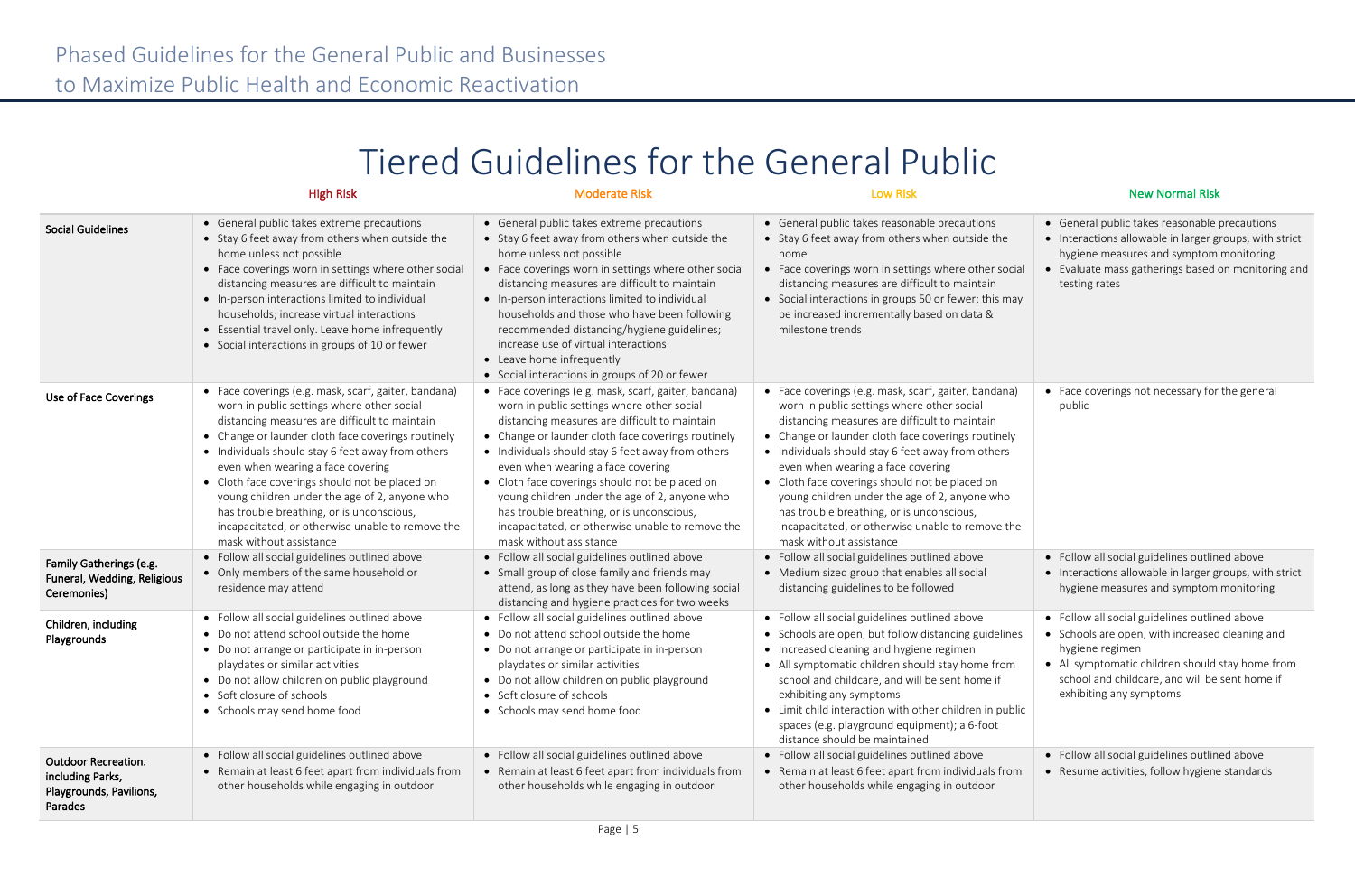## Tiered Guidelines for the General Public

|                                                                                      | <b>High Risk</b>                                                                                                                                                                                                                                                                                                                                                                                                                                                                                                                   | <b>Moderate Risk</b>                                                                                                                                                                                                                                                                                                                                                                                                                                                                                                               | <b>Low Risk</b>                                                                                                                                                                                                                                                                                                                                                                                                                                                                                                                    | <b>New Normal Risk</b>                                                                                                                                                                                 |
|--------------------------------------------------------------------------------------|------------------------------------------------------------------------------------------------------------------------------------------------------------------------------------------------------------------------------------------------------------------------------------------------------------------------------------------------------------------------------------------------------------------------------------------------------------------------------------------------------------------------------------|------------------------------------------------------------------------------------------------------------------------------------------------------------------------------------------------------------------------------------------------------------------------------------------------------------------------------------------------------------------------------------------------------------------------------------------------------------------------------------------------------------------------------------|------------------------------------------------------------------------------------------------------------------------------------------------------------------------------------------------------------------------------------------------------------------------------------------------------------------------------------------------------------------------------------------------------------------------------------------------------------------------------------------------------------------------------------|--------------------------------------------------------------------------------------------------------------------------------------------------------------------------------------------------------|
| <b>Social Guidelines</b>                                                             | • General public takes extreme precautions<br>• Stay 6 feet away from others when outside the<br>home unless not possible<br>• Face coverings worn in settings where other social<br>distancing measures are difficult to maintain<br>• In-person interactions limited to individual<br>households; increase virtual interactions<br>• Essential travel only. Leave home infrequently<br>• Social interactions in groups of 10 or fewer                                                                                            | • General public takes extreme precautions<br>• Stay 6 feet away from others when outside the<br>home unless not possible<br>• Face coverings worn in settings where other social<br>distancing measures are difficult to maintain<br>• In-person interactions limited to individual<br>households and those who have been following<br>recommended distancing/hygiene guidelines;<br>increase use of virtual interactions<br>• Leave home infrequently<br>• Social interactions in groups of 20 or fewer                          | • General public takes reasonable precautions<br>• Stay 6 feet away from others when outside the<br>home<br>• Face coverings worn in settings where other social<br>distancing measures are difficult to maintain<br>• Social interactions in groups 50 or fewer; this may<br>be increased incrementally based on data &<br>milestone trends                                                                                                                                                                                       | • General public takes reasonable p<br>• Interactions allowable in larger gr<br>hygiene measures and symptom<br>• Evaluate mass gatherings based of<br>testing rates                                   |
| Use of Face Coverings                                                                | • Face coverings (e.g. mask, scarf, gaiter, bandana)<br>worn in public settings where other social<br>distancing measures are difficult to maintain<br>• Change or launder cloth face coverings routinely<br>• Individuals should stay 6 feet away from others<br>even when wearing a face covering<br>• Cloth face coverings should not be placed on<br>young children under the age of 2, anyone who<br>has trouble breathing, or is unconscious,<br>incapacitated, or otherwise unable to remove the<br>mask without assistance | • Face coverings (e.g. mask, scarf, gaiter, bandana)<br>worn in public settings where other social<br>distancing measures are difficult to maintain<br>• Change or launder cloth face coverings routinely<br>• Individuals should stay 6 feet away from others<br>even when wearing a face covering<br>• Cloth face coverings should not be placed on<br>young children under the age of 2, anyone who<br>has trouble breathing, or is unconscious,<br>incapacitated, or otherwise unable to remove the<br>mask without assistance | • Face coverings (e.g. mask, scarf, gaiter, bandana)<br>worn in public settings where other social<br>distancing measures are difficult to maintain<br>• Change or launder cloth face coverings routinely<br>• Individuals should stay 6 feet away from others<br>even when wearing a face covering<br>• Cloth face coverings should not be placed on<br>young children under the age of 2, anyone who<br>has trouble breathing, or is unconscious,<br>incapacitated, or otherwise unable to remove the<br>mask without assistance | • Face coverings not necessary for<br>public                                                                                                                                                           |
| Family Gatherings (e.g.<br>Funeral, Wedding, Religious<br>Ceremonies)                | • Follow all social guidelines outlined above<br>• Only members of the same household or<br>residence may attend                                                                                                                                                                                                                                                                                                                                                                                                                   | • Follow all social guidelines outlined above<br>• Small group of close family and friends may<br>attend, as long as they have been following social<br>distancing and hygiene practices for two weeks                                                                                                                                                                                                                                                                                                                             | • Follow all social guidelines outlined above<br>• Medium sized group that enables all social<br>distancing guidelines to be followed                                                                                                                                                                                                                                                                                                                                                                                              | · Follow all social guidelines outline<br>• Interactions allowable in larger gr<br>hygiene measures and symptom                                                                                        |
| Children, including<br>Playgrounds                                                   | • Follow all social guidelines outlined above<br>• Do not attend school outside the home<br>• Do not arrange or participate in in-person<br>playdates or similar activities<br>• Do not allow children on public playground<br>• Soft closure of schools<br>• Schools may send home food                                                                                                                                                                                                                                           | • Follow all social guidelines outlined above<br>• Do not attend school outside the home<br>• Do not arrange or participate in in-person<br>playdates or similar activities<br>• Do not allow children on public playground<br>• Soft closure of schools<br>• Schools may send home food                                                                                                                                                                                                                                           | • Follow all social guidelines outlined above<br>• Schools are open, but follow distancing guidelines<br>• Increased cleaning and hygiene regimen<br>• All symptomatic children should stay home from<br>school and childcare, and will be sent home if<br>exhibiting any symptoms<br>• Limit child interaction with other children in public<br>spaces (e.g. playground equipment); a 6-foot<br>distance should be maintained                                                                                                     | • Follow all social guidelines outline<br>• Schools are open, with increased<br>hygiene regimen<br>• All symptomatic children should s<br>school and childcare, and will be<br>exhibiting any symptoms |
| <b>Outdoor Recreation.</b><br>including Parks,<br>Playgrounds, Pavilions,<br>Parades | • Follow all social guidelines outlined above<br>• Remain at least 6 feet apart from individuals from<br>other households while engaging in outdoor                                                                                                                                                                                                                                                                                                                                                                                | • Follow all social guidelines outlined above<br>• Remain at least 6 feet apart from individuals from<br>other households while engaging in outdoor                                                                                                                                                                                                                                                                                                                                                                                | • Follow all social guidelines outlined above<br>• Remain at least 6 feet apart from individuals from<br>other households while engaging in outdoor                                                                                                                                                                                                                                                                                                                                                                                | • Follow all social guidelines outline<br>• Resume activities, follow hygiene                                                                                                                          |

| he<br>social<br>s may              | General public takes reasonable precautions<br>Interactions allowable in larger groups, with strict<br>hygiene measures and symptom monitoring<br>Evaluate mass gatherings based on monitoring and<br>testing rates                            |
|------------------------------------|------------------------------------------------------------------------------------------------------------------------------------------------------------------------------------------------------------------------------------------------|
| ana)<br>nely<br>ers<br>ho<br>e the | Face coverings not necessary for the general<br>public                                                                                                                                                                                         |
|                                    | Follow all social guidelines outlined above<br>Interactions allowable in larger groups, with strict<br>hygiene measures and symptom monitoring                                                                                                 |
| elines<br>rom<br>f<br>public       | Follow all social guidelines outlined above<br>Schools are open, with increased cleaning and<br>hygiene regimen<br>All symptomatic children should stay home from<br>school and childcare, and will be sent home if<br>exhibiting any symptoms |
| from                               | Follow all social guidelines outlined above<br>Resume activities, follow hygiene standards                                                                                                                                                     |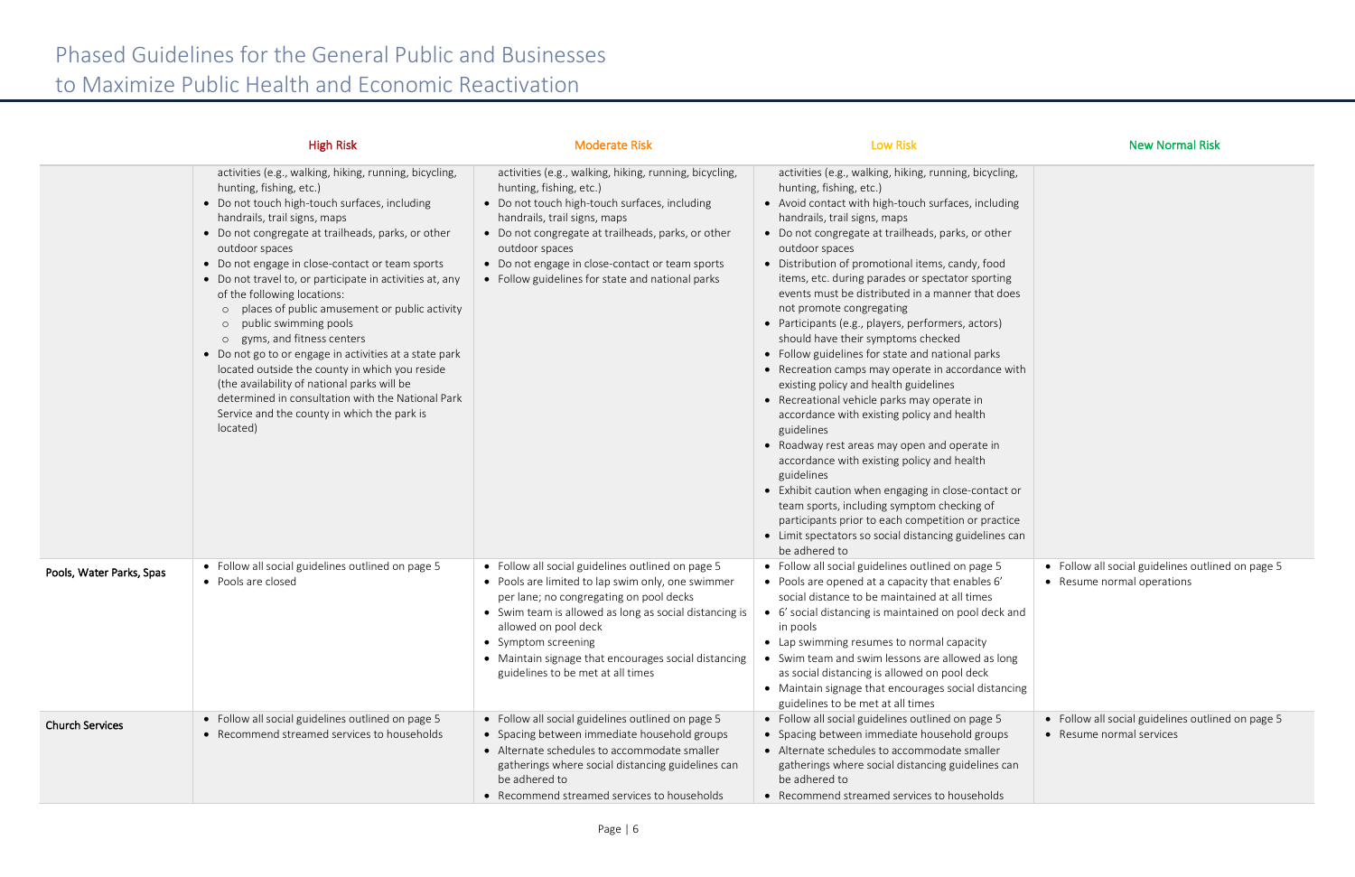|                          | <b>High Risk</b>                                                                                                                                                                                                                                                                                                                                                                                                                                                                                                                                                                                                                                                                                                                                                                 | <b>Moderate Risk</b>                                                                                                                                                                                                                                                                                                                                    | <b>Low Risk</b>                                                                                                                                                                                                                                                                                                                                                                                                                                                                                                                                                                                                                                                                                                                                                                                                                                                                                                                                                                                                                                                                                                                                     | <b>New Normal Risk</b>                                                          |
|--------------------------|----------------------------------------------------------------------------------------------------------------------------------------------------------------------------------------------------------------------------------------------------------------------------------------------------------------------------------------------------------------------------------------------------------------------------------------------------------------------------------------------------------------------------------------------------------------------------------------------------------------------------------------------------------------------------------------------------------------------------------------------------------------------------------|---------------------------------------------------------------------------------------------------------------------------------------------------------------------------------------------------------------------------------------------------------------------------------------------------------------------------------------------------------|-----------------------------------------------------------------------------------------------------------------------------------------------------------------------------------------------------------------------------------------------------------------------------------------------------------------------------------------------------------------------------------------------------------------------------------------------------------------------------------------------------------------------------------------------------------------------------------------------------------------------------------------------------------------------------------------------------------------------------------------------------------------------------------------------------------------------------------------------------------------------------------------------------------------------------------------------------------------------------------------------------------------------------------------------------------------------------------------------------------------------------------------------------|---------------------------------------------------------------------------------|
|                          | activities (e.g., walking, hiking, running, bicycling,<br>hunting, fishing, etc.)<br>• Do not touch high-touch surfaces, including<br>handrails, trail signs, maps<br>• Do not congregate at trailheads, parks, or other<br>outdoor spaces<br>• Do not engage in close-contact or team sports<br>• Do not travel to, or participate in activities at, any<br>of the following locations:<br>o places of public amusement or public activity<br>o public swimming pools<br>o gyms, and fitness centers<br>• Do not go to or engage in activities at a state park<br>located outside the county in which you reside<br>(the availability of national parks will be<br>determined in consultation with the National Park<br>Service and the county in which the park is<br>located) | activities (e.g., walking, hiking, running, bicycling,<br>hunting, fishing, etc.)<br>• Do not touch high-touch surfaces, including<br>handrails, trail signs, maps<br>• Do not congregate at trailheads, parks, or other<br>outdoor spaces<br>• Do not engage in close-contact or team sports<br>• Follow guidelines for state and national parks       | activities (e.g., walking, hiking, running, bicycling,<br>hunting, fishing, etc.)<br>• Avoid contact with high-touch surfaces, including<br>handrails, trail signs, maps<br>• Do not congregate at trailheads, parks, or other<br>outdoor spaces<br>• Distribution of promotional items, candy, food<br>items, etc. during parades or spectator sporting<br>events must be distributed in a manner that does<br>not promote congregating<br>• Participants (e.g., players, performers, actors)<br>should have their symptoms checked<br>• Follow guidelines for state and national parks<br>• Recreation camps may operate in accordance with<br>existing policy and health guidelines<br>• Recreational vehicle parks may operate in<br>accordance with existing policy and health<br>guidelines<br>• Roadway rest areas may open and operate in<br>accordance with existing policy and health<br>guidelines<br>• Exhibit caution when engaging in close-contact or<br>team sports, including symptom checking of<br>participants prior to each competition or practice<br>• Limit spectators so social distancing guidelines can<br>be adhered to |                                                                                 |
| Pools, Water Parks, Spas | • Follow all social guidelines outlined on page 5<br>• Pools are closed                                                                                                                                                                                                                                                                                                                                                                                                                                                                                                                                                                                                                                                                                                          | • Follow all social guidelines outlined on page 5<br>• Pools are limited to lap swim only, one swimmer<br>per lane; no congregating on pool decks<br>• Swim team is allowed as long as social distancing is<br>allowed on pool deck<br>• Symptom screening<br>• Maintain signage that encourages social distancing<br>guidelines to be met at all times | • Follow all social guidelines outlined on page 5<br>• Pools are opened at a capacity that enables 6'<br>social distance to be maintained at all times<br>• 6' social distancing is maintained on pool deck and<br>in pools<br>• Lap swimming resumes to normal capacity<br>• Swim team and swim lessons are allowed as long<br>as social distancing is allowed on pool deck<br>• Maintain signage that encourages social distancing<br>guidelines to be met at all times                                                                                                                                                                                                                                                                                                                                                                                                                                                                                                                                                                                                                                                                           | • Follow all social guidelines outlined on page 5<br>• Resume normal operations |
| <b>Church Services</b>   | • Follow all social guidelines outlined on page 5<br>• Recommend streamed services to households                                                                                                                                                                                                                                                                                                                                                                                                                                                                                                                                                                                                                                                                                 | • Follow all social guidelines outlined on page 5<br>• Spacing between immediate household groups<br>• Alternate schedules to accommodate smaller<br>gatherings where social distancing guidelines can<br>be adhered to<br>• Recommend streamed services to households                                                                                  | • Follow all social guidelines outlined on page 5<br>• Spacing between immediate household groups<br>• Alternate schedules to accommodate smaller<br>gatherings where social distancing guidelines can<br>be adhered to<br>• Recommend streamed services to households                                                                                                                                                                                                                                                                                                                                                                                                                                                                                                                                                                                                                                                                                                                                                                                                                                                                              | • Follow all social guidelines outlined on page 5<br>• Resume normal services   |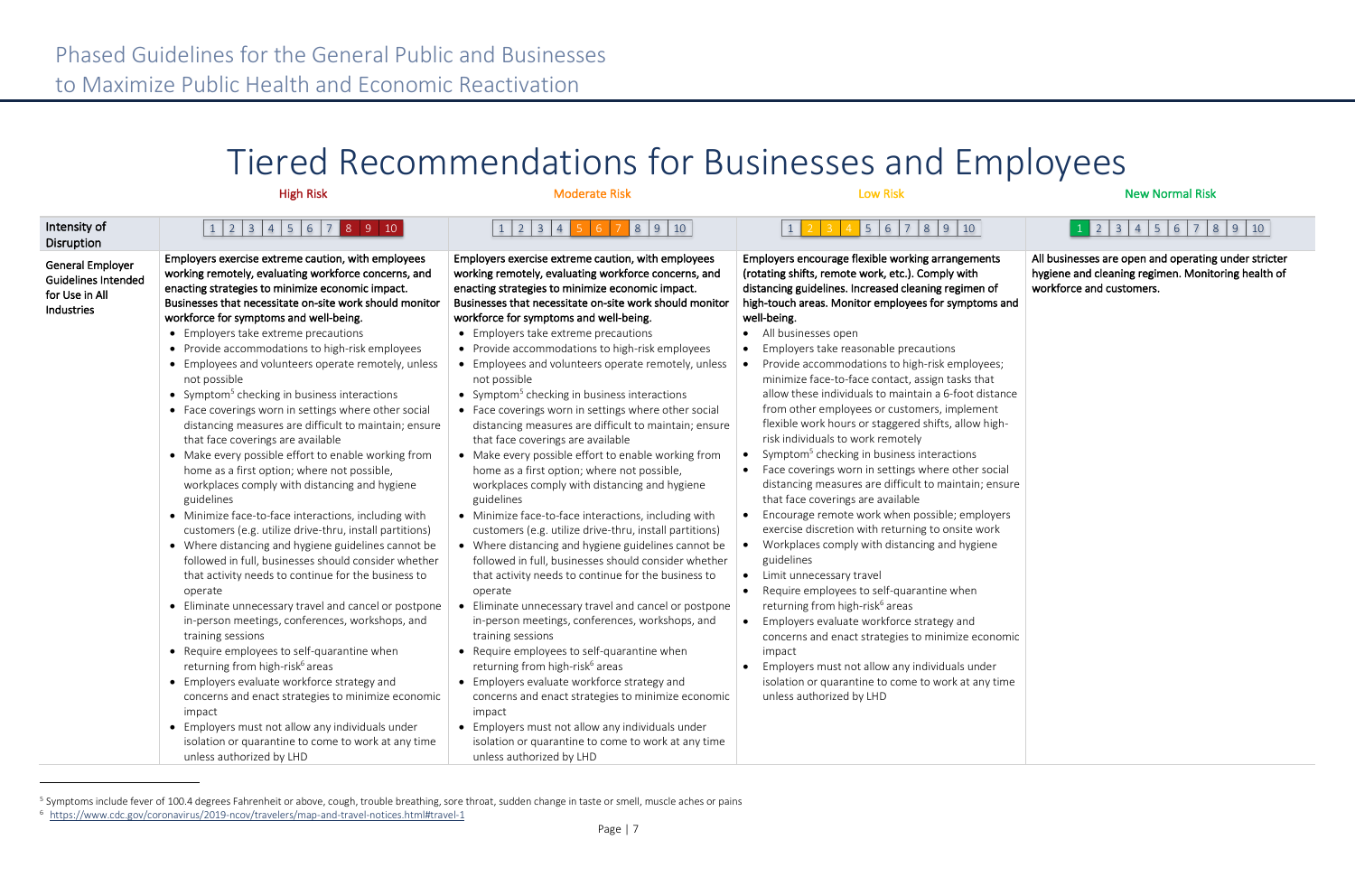| Intensity of<br>Disruption                                                            | 1 2 3 4 5 6 7 8 9 10                                                                                                                                                                                                                                                                                                                                                                                                                                                                                                                                                                                                                                                                                                                                                                                                                                                                                                                                                                                                                                                                                                                                                                                                                                                                                                                                                                                                                                                                                                                                                                                                  | 5 6 7 8 9 10                                                                                                                                                                                                                                                                                                                                                                                                                                                                                                                                                                                                                                                                                                                                                                                                                                                                                                                                                                                                                                                                                                                                                                                                                                                                                                                                                                                                                                                                                                                                                                                                          | $4$ 5 6 7 8 9 10                                                                                                                                                                                                                                                                                                                                                                                                                                                                                                                                                                                                                                                                                                                                                                                                                                                                                                                                                                                                                                                                                                                                                                                                                                                                                                                                                                                                                                                             | $1$ 2 3 4 5 6 7 8 9 10                                                                                                                 |
|---------------------------------------------------------------------------------------|-----------------------------------------------------------------------------------------------------------------------------------------------------------------------------------------------------------------------------------------------------------------------------------------------------------------------------------------------------------------------------------------------------------------------------------------------------------------------------------------------------------------------------------------------------------------------------------------------------------------------------------------------------------------------------------------------------------------------------------------------------------------------------------------------------------------------------------------------------------------------------------------------------------------------------------------------------------------------------------------------------------------------------------------------------------------------------------------------------------------------------------------------------------------------------------------------------------------------------------------------------------------------------------------------------------------------------------------------------------------------------------------------------------------------------------------------------------------------------------------------------------------------------------------------------------------------------------------------------------------------|-----------------------------------------------------------------------------------------------------------------------------------------------------------------------------------------------------------------------------------------------------------------------------------------------------------------------------------------------------------------------------------------------------------------------------------------------------------------------------------------------------------------------------------------------------------------------------------------------------------------------------------------------------------------------------------------------------------------------------------------------------------------------------------------------------------------------------------------------------------------------------------------------------------------------------------------------------------------------------------------------------------------------------------------------------------------------------------------------------------------------------------------------------------------------------------------------------------------------------------------------------------------------------------------------------------------------------------------------------------------------------------------------------------------------------------------------------------------------------------------------------------------------------------------------------------------------------------------------------------------------|------------------------------------------------------------------------------------------------------------------------------------------------------------------------------------------------------------------------------------------------------------------------------------------------------------------------------------------------------------------------------------------------------------------------------------------------------------------------------------------------------------------------------------------------------------------------------------------------------------------------------------------------------------------------------------------------------------------------------------------------------------------------------------------------------------------------------------------------------------------------------------------------------------------------------------------------------------------------------------------------------------------------------------------------------------------------------------------------------------------------------------------------------------------------------------------------------------------------------------------------------------------------------------------------------------------------------------------------------------------------------------------------------------------------------------------------------------------------------|----------------------------------------------------------------------------------------------------------------------------------------|
| <b>General Employer</b><br><b>Guidelines Intended</b><br>for Use in All<br>Industries | Employers exercise extreme caution, with employees<br>working remotely, evaluating workforce concerns, and<br>enacting strategies to minimize economic impact.<br>Businesses that necessitate on-site work should monitor<br>workforce for symptoms and well-being.<br>• Employers take extreme precautions<br>• Provide accommodations to high-risk employees<br>• Employees and volunteers operate remotely, unless<br>not possible<br>• Symptom <sup>5</sup> checking in business interactions<br>• Face coverings worn in settings where other social<br>distancing measures are difficult to maintain; ensure<br>that face coverings are available<br>• Make every possible effort to enable working from<br>home as a first option; where not possible,<br>workplaces comply with distancing and hygiene<br>guidelines<br>• Minimize face-to-face interactions, including with<br>customers (e.g. utilize drive-thru, install partitions)<br>• Where distancing and hygiene guidelines cannot be<br>followed in full, businesses should consider whether<br>that activity needs to continue for the business to<br>operate<br>• Eliminate unnecessary travel and cancel or postpone<br>in-person meetings, conferences, workshops, and<br>training sessions<br>• Require employees to self-quarantine when<br>returning from high-risk <sup>6</sup> areas<br>• Employers evaluate workforce strategy and<br>concerns and enact strategies to minimize economic<br>impact<br>• Employers must not allow any individuals under<br>isolation or quarantine to come to work at any time<br>unless authorized by LHD | Employers exercise extreme caution, with employees<br>working remotely, evaluating workforce concerns, and<br>enacting strategies to minimize economic impact.<br>Businesses that necessitate on-site work should monitor<br>workforce for symptoms and well-being.<br>• Employers take extreme precautions<br>• Provide accommodations to high-risk employees<br>• Employees and volunteers operate remotely, unless<br>not possible<br>• Symptom <sup>5</sup> checking in business interactions<br>• Face coverings worn in settings where other social<br>distancing measures are difficult to maintain; ensure<br>that face coverings are available<br>• Make every possible effort to enable working from<br>home as a first option; where not possible,<br>workplaces comply with distancing and hygiene<br>guidelines<br>• Minimize face-to-face interactions, including with<br>customers (e.g. utilize drive-thru, install partitions)<br>• Where distancing and hygiene guidelines cannot be<br>followed in full, businesses should consider whether<br>that activity needs to continue for the business to<br>operate<br>• Eliminate unnecessary travel and cancel or postpone<br>in-person meetings, conferences, workshops, and<br>training sessions<br>• Require employees to self-quarantine when<br>returning from high-risk <sup>6</sup> areas<br>• Employers evaluate workforce strategy and<br>concerns and enact strategies to minimize economic<br>impact<br>• Employers must not allow any individuals under<br>isolation or quarantine to come to work at any time<br>unless authorized by LHD | Employers encourage flexible working arrangements<br>(rotating shifts, remote work, etc.). Comply with<br>distancing guidelines. Increased cleaning regimen of<br>high-touch areas. Monitor employees for symptoms and<br>well-being.<br>• All businesses open<br>Employers take reasonable precautions<br>$\bullet$<br>Provide accommodations to high-risk employees;<br>minimize face-to-face contact, assign tasks that<br>allow these individuals to maintain a 6-foot distance<br>from other employees or customers, implement<br>flexible work hours or staggered shifts, allow high-<br>risk individuals to work remotely<br>Symptom <sup>5</sup> checking in business interactions<br>$\bullet$<br>Face coverings worn in settings where other social<br>$\bullet$<br>distancing measures are difficult to maintain; ensure<br>that face coverings are available<br>Encourage remote work when possible; employers<br>$\bullet$<br>exercise discretion with returning to onsite work<br>Workplaces comply with distancing and hygiene<br>guidelines<br>Limit unnecessary travel<br>$\bullet$<br>Require employees to self-quarantine when<br>$\bullet$<br>returning from high-risk <sup>6</sup> areas<br>Employers evaluate workforce strategy and<br>$\bullet$<br>concerns and enact strategies to minimize economic<br>impact<br>Employers must not allow any individuals under<br>isolation or quarantine to come to work at any time<br>unless authorized by LHD | All businesses are open and operating under stricter<br>hygiene and cleaning regimen. Monitoring health of<br>workforce and customers. |

<sup>&</sup>lt;sup>5</sup> Symptoms include fever of 100.4 degrees Fahrenheit or above, cough, trouble breathing, sore throat, sudden change in taste or smell, muscle aches or pains

## Tiered Recommendations for Businesses and Employees

### High Risk Moderate Risk Low Risk New Normal Risk

<sup>6</sup> https://www.cdc.gov/coronavirus/2019-ncov/travelers/map-and-travel-notices.html#travel-1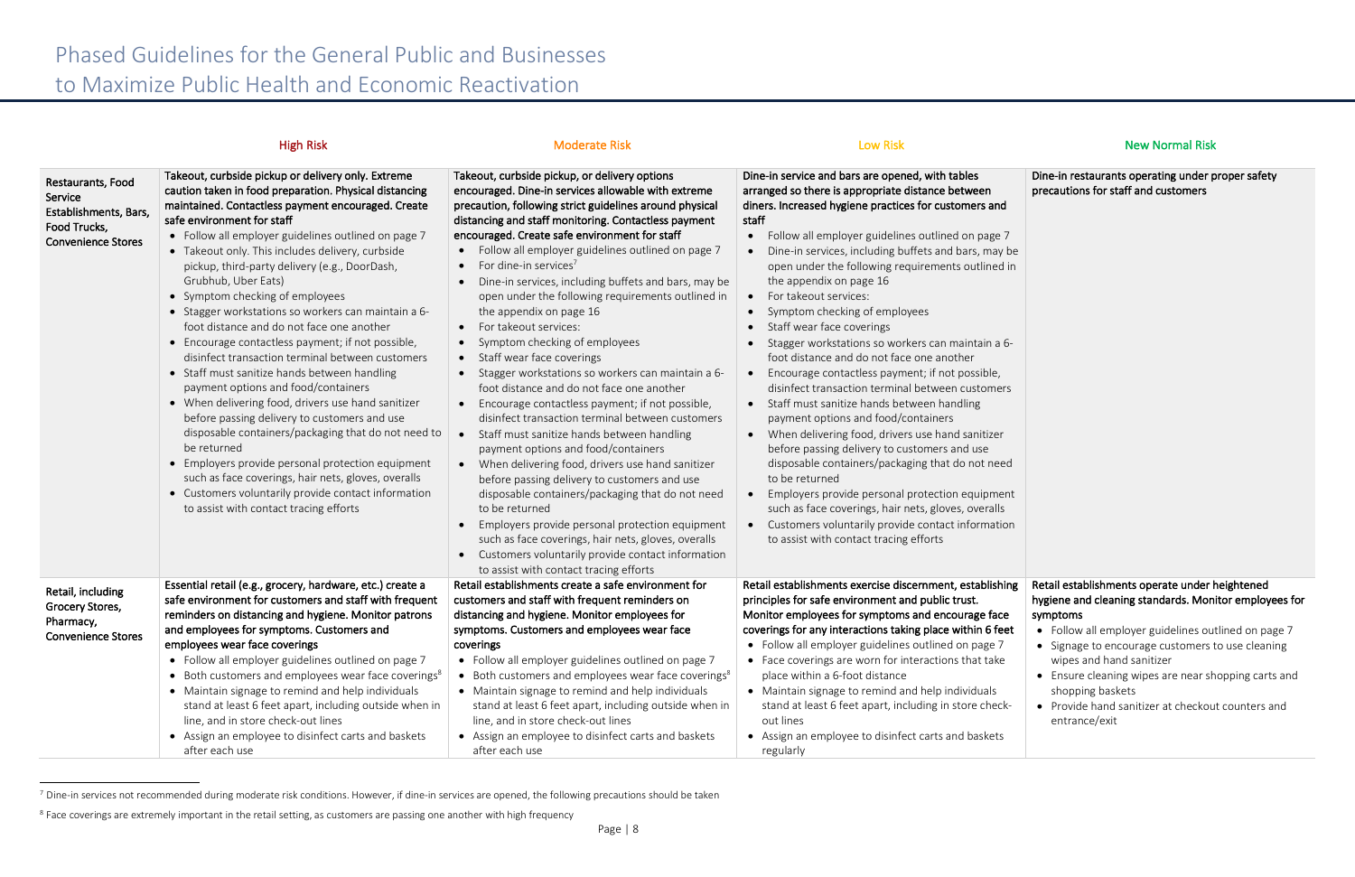|                                                                                                    | <b>High Risk</b>                                                                                                                                                                                                                                                                                                                                                                                                                                                                                                                                                                                                                                                                                                                                                                                                                                                                                                                                                                                                                                                                                                    | <b>Moderate Risk</b>                                                                                                                                                                                                                                                                                                                                                                                                                                                                                                                                                                                                                                                                                                                                                                                                                                                                                                                                                                                                                                                                                                                                                                                                                                                                                                | <b>Low Risk</b>                                                                                                                                                                                                                                                                                                                                                                                                                                                                                                                                                                                                                                                                                                                                                                                                                                                                                                                                                                                                                                                                                                                                                                         | <b>New Normal Risk</b>                                                                                                                                                                                                                                                                                                                                                                                      |
|----------------------------------------------------------------------------------------------------|---------------------------------------------------------------------------------------------------------------------------------------------------------------------------------------------------------------------------------------------------------------------------------------------------------------------------------------------------------------------------------------------------------------------------------------------------------------------------------------------------------------------------------------------------------------------------------------------------------------------------------------------------------------------------------------------------------------------------------------------------------------------------------------------------------------------------------------------------------------------------------------------------------------------------------------------------------------------------------------------------------------------------------------------------------------------------------------------------------------------|---------------------------------------------------------------------------------------------------------------------------------------------------------------------------------------------------------------------------------------------------------------------------------------------------------------------------------------------------------------------------------------------------------------------------------------------------------------------------------------------------------------------------------------------------------------------------------------------------------------------------------------------------------------------------------------------------------------------------------------------------------------------------------------------------------------------------------------------------------------------------------------------------------------------------------------------------------------------------------------------------------------------------------------------------------------------------------------------------------------------------------------------------------------------------------------------------------------------------------------------------------------------------------------------------------------------|-----------------------------------------------------------------------------------------------------------------------------------------------------------------------------------------------------------------------------------------------------------------------------------------------------------------------------------------------------------------------------------------------------------------------------------------------------------------------------------------------------------------------------------------------------------------------------------------------------------------------------------------------------------------------------------------------------------------------------------------------------------------------------------------------------------------------------------------------------------------------------------------------------------------------------------------------------------------------------------------------------------------------------------------------------------------------------------------------------------------------------------------------------------------------------------------|-------------------------------------------------------------------------------------------------------------------------------------------------------------------------------------------------------------------------------------------------------------------------------------------------------------------------------------------------------------------------------------------------------------|
| Restaurants, Food<br>Service<br>Establishments, Bars,<br>Food Trucks,<br><b>Convenience Stores</b> | Takeout, curbside pickup or delivery only. Extreme<br>caution taken in food preparation. Physical distancing<br>maintained. Contactless payment encouraged. Create<br>safe environment for staff<br>• Follow all employer guidelines outlined on page 7<br>• Takeout only. This includes delivery, curbside<br>pickup, third-party delivery (e.g., DoorDash,<br>Grubhub, Uber Eats)<br>• Symptom checking of employees<br>• Stagger workstations so workers can maintain a 6-<br>foot distance and do not face one another<br>• Encourage contactless payment; if not possible,<br>disinfect transaction terminal between customers<br>• Staff must sanitize hands between handling<br>payment options and food/containers<br>• When delivering food, drivers use hand sanitizer<br>before passing delivery to customers and use<br>disposable containers/packaging that do not need to<br>be returned<br>• Employers provide personal protection equipment<br>such as face coverings, hair nets, gloves, overalls<br>• Customers voluntarily provide contact information<br>to assist with contact tracing efforts | Takeout, curbside pickup, or delivery options<br>encouraged. Dine-in services allowable with extreme<br>precaution, following strict guidelines around physical<br>distancing and staff monitoring. Contactless payment<br>encouraged. Create safe environment for staff<br>• Follow all employer guidelines outlined on page 7<br>• For dine-in services <sup>7</sup><br>Dine-in services, including buffets and bars, may be<br>$\bullet$<br>open under the following requirements outlined in<br>the appendix on page 16<br>• For takeout services:<br>• Symptom checking of employees<br>• Staff wear face coverings<br>• Stagger workstations so workers can maintain a 6-<br>foot distance and do not face one another<br>• Encourage contactless payment; if not possible,<br>disinfect transaction terminal between customers<br>Staff must sanitize hands between handling<br>payment options and food/containers<br>• When delivering food, drivers use hand sanitizer<br>before passing delivery to customers and use<br>disposable containers/packaging that do not need<br>to be returned<br>• Employers provide personal protection equipment<br>such as face coverings, hair nets, gloves, overalls<br>• Customers voluntarily provide contact information<br>to assist with contact tracing efforts | Dine-in service and bars are opened, with tables<br>arranged so there is appropriate distance between<br>diners. Increased hygiene practices for customers and<br>staff<br>• Follow all employer guidelines outlined on page 7<br>Dine-in services, including buffets and bars, may be<br>open under the following requirements outlined in<br>the appendix on page 16<br>For takeout services:<br>Symptom checking of employees<br>$\bullet$<br>Staff wear face coverings<br>$\bullet$<br>Stagger workstations so workers can maintain a 6-<br>foot distance and do not face one another<br>Encourage contactless payment; if not possible,<br>disinfect transaction terminal between customers<br>Staff must sanitize hands between handling<br>$\bullet$<br>payment options and food/containers<br>• When delivering food, drivers use hand sanitizer<br>before passing delivery to customers and use<br>disposable containers/packaging that do not need<br>to be returned<br>Employers provide personal protection equipment<br>such as face coverings, hair nets, gloves, overalls<br>Customers voluntarily provide contact information<br>to assist with contact tracing efforts | Dine-in restaurants operating under proper safety<br>precautions for staff and customers                                                                                                                                                                                                                                                                                                                    |
| Retail, including<br>Grocery Stores,<br>Pharmacy,<br><b>Convenience Stores</b>                     | Essential retail (e.g., grocery, hardware, etc.) create a<br>safe environment for customers and staff with frequent<br>reminders on distancing and hygiene. Monitor patrons<br>and employees for symptoms. Customers and<br>employees wear face coverings<br>• Follow all employer guidelines outlined on page 7<br>• Both customers and employees wear face coverings <sup>8</sup><br>• Maintain signage to remind and help individuals<br>stand at least 6 feet apart, including outside when in<br>line, and in store check-out lines<br>• Assign an employee to disinfect carts and baskets<br>after each use                                                                                                                                                                                                                                                                                                                                                                                                                                                                                                   | Retail establishments create a safe environment for<br>customers and staff with frequent reminders on<br>distancing and hygiene. Monitor employees for<br>symptoms. Customers and employees wear face<br>coverings<br>• Follow all employer guidelines outlined on page 7<br>• Both customers and employees wear face coverings <sup>8</sup><br>• Maintain signage to remind and help individuals<br>stand at least 6 feet apart, including outside when in<br>line, and in store check-out lines<br>• Assign an employee to disinfect carts and baskets<br>after each use                                                                                                                                                                                                                                                                                                                                                                                                                                                                                                                                                                                                                                                                                                                                          | Retail establishments exercise discernment, establishing<br>principles for safe environment and public trust.<br>Monitor employees for symptoms and encourage face<br>coverings for any interactions taking place within 6 feet<br>• Follow all employer guidelines outlined on page 7<br>• Face coverings are worn for interactions that take<br>place within a 6-foot distance<br>• Maintain signage to remind and help individuals<br>stand at least 6 feet apart, including in store check-<br>out lines<br>• Assign an employee to disinfect carts and baskets<br>regularly                                                                                                                                                                                                                                                                                                                                                                                                                                                                                                                                                                                                        | Retail establishments operate under heightened<br>hygiene and cleaning standards. Monitor employees for<br>symptoms<br>• Follow all employer guidelines outlined on page 7<br>• Signage to encourage customers to use cleaning<br>wipes and hand sanitizer<br>• Ensure cleaning wipes are near shopping carts and<br>shopping baskets<br>• Provide hand sanitizer at checkout counters and<br>entrance/exit |

 $^7$  Dine-in services not recommended during moderate risk conditions. However, if dine-in services are opened, the following precautions should be taken

 $8$  Face coverings are extremely important in the retail setting, as customers are passing one another with high frequency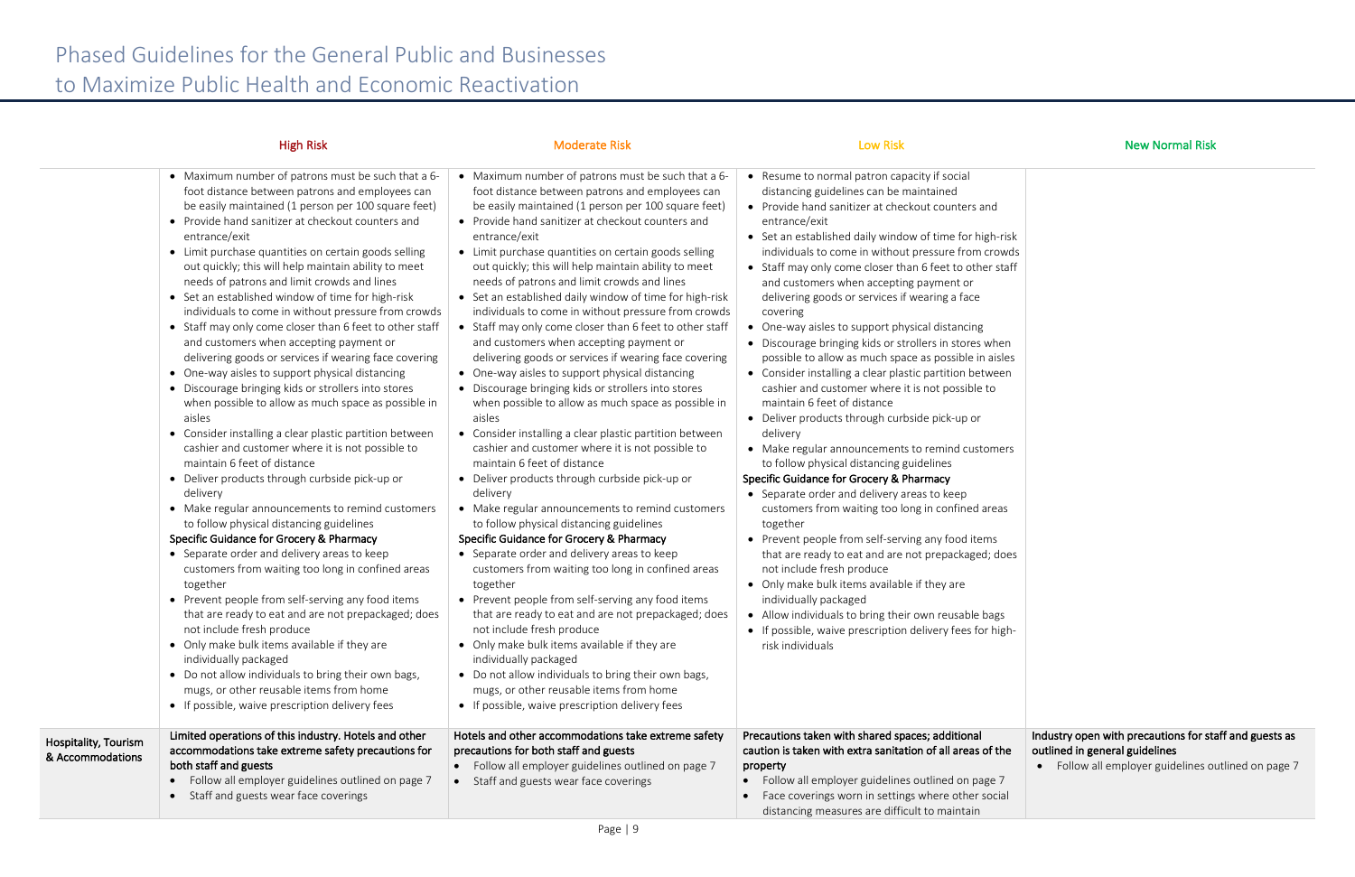|                                          | <b>High Risk</b>                                                                                                                                                                                                                                                                                                                                                                                                                                                                                                                                                                                                                                                                                                                                                                                                                                                                                                                                                                                                                                                                                                                                                                                                                                                                                                                                                                                                                                                                                                                                                                                                                                                                                       | <b>Moderate Risk</b>                                                                                                                                                                                                                                                                                                                                                                                                                                                                                                                                                                                                                                                                                                                                                                                                                                                                                                                                                                                                                                                                                                                                                                                                                                                                                                                                                                                                                                                                                                                                                                                                                                                                                         | <b>Low Risk</b>                                                                                                                                                                                                                                                                                                                                                                                                                                                                                                                                                                                                                                                                                                                                                                                                                                                                                                                                                                                                                                                                                                                                                                                                                                                                                                                                                                                                                                              | <b>New Normal Risk</b>                                                                                          |
|------------------------------------------|--------------------------------------------------------------------------------------------------------------------------------------------------------------------------------------------------------------------------------------------------------------------------------------------------------------------------------------------------------------------------------------------------------------------------------------------------------------------------------------------------------------------------------------------------------------------------------------------------------------------------------------------------------------------------------------------------------------------------------------------------------------------------------------------------------------------------------------------------------------------------------------------------------------------------------------------------------------------------------------------------------------------------------------------------------------------------------------------------------------------------------------------------------------------------------------------------------------------------------------------------------------------------------------------------------------------------------------------------------------------------------------------------------------------------------------------------------------------------------------------------------------------------------------------------------------------------------------------------------------------------------------------------------------------------------------------------------|--------------------------------------------------------------------------------------------------------------------------------------------------------------------------------------------------------------------------------------------------------------------------------------------------------------------------------------------------------------------------------------------------------------------------------------------------------------------------------------------------------------------------------------------------------------------------------------------------------------------------------------------------------------------------------------------------------------------------------------------------------------------------------------------------------------------------------------------------------------------------------------------------------------------------------------------------------------------------------------------------------------------------------------------------------------------------------------------------------------------------------------------------------------------------------------------------------------------------------------------------------------------------------------------------------------------------------------------------------------------------------------------------------------------------------------------------------------------------------------------------------------------------------------------------------------------------------------------------------------------------------------------------------------------------------------------------------------|--------------------------------------------------------------------------------------------------------------------------------------------------------------------------------------------------------------------------------------------------------------------------------------------------------------------------------------------------------------------------------------------------------------------------------------------------------------------------------------------------------------------------------------------------------------------------------------------------------------------------------------------------------------------------------------------------------------------------------------------------------------------------------------------------------------------------------------------------------------------------------------------------------------------------------------------------------------------------------------------------------------------------------------------------------------------------------------------------------------------------------------------------------------------------------------------------------------------------------------------------------------------------------------------------------------------------------------------------------------------------------------------------------------------------------------------------------------|-----------------------------------------------------------------------------------------------------------------|
|                                          | • Maximum number of patrons must be such that a 6-<br>foot distance between patrons and employees can<br>be easily maintained (1 person per 100 square feet)<br>• Provide hand sanitizer at checkout counters and<br>entrance/exit<br>• Limit purchase quantities on certain goods selling<br>out quickly; this will help maintain ability to meet<br>needs of patrons and limit crowds and lines<br>• Set an established window of time for high-risk<br>individuals to come in without pressure from crowds<br>• Staff may only come closer than 6 feet to other staff<br>and customers when accepting payment or<br>delivering goods or services if wearing face covering<br>• One-way aisles to support physical distancing<br>• Discourage bringing kids or strollers into stores<br>when possible to allow as much space as possible in<br>aisles<br>• Consider installing a clear plastic partition between<br>cashier and customer where it is not possible to<br>maintain 6 feet of distance<br>• Deliver products through curbside pick-up or<br>delivery<br>• Make regular announcements to remind customers<br>to follow physical distancing guidelines<br>Specific Guidance for Grocery & Pharmacy<br>• Separate order and delivery areas to keep<br>customers from waiting too long in confined areas<br>together<br>• Prevent people from self-serving any food items<br>that are ready to eat and are not prepackaged; does<br>not include fresh produce<br>• Only make bulk items available if they are<br>individually packaged<br>• Do not allow individuals to bring their own bags,<br>mugs, or other reusable items from home<br>• If possible, waive prescription delivery fees | • Maximum number of patrons must be such that a 6-<br>foot distance between patrons and employees can<br>be easily maintained (1 person per 100 square feet)<br>• Provide hand sanitizer at checkout counters and<br>entrance/exit<br>• Limit purchase quantities on certain goods selling<br>out quickly; this will help maintain ability to meet<br>needs of patrons and limit crowds and lines<br>• Set an established daily window of time for high-risk<br>individuals to come in without pressure from crowds<br>• Staff may only come closer than 6 feet to other staff<br>and customers when accepting payment or<br>delivering goods or services if wearing face covering<br>• One-way aisles to support physical distancing<br>• Discourage bringing kids or strollers into stores<br>when possible to allow as much space as possible in<br>aisles<br>• Consider installing a clear plastic partition between<br>cashier and customer where it is not possible to<br>maintain 6 feet of distance<br>• Deliver products through curbside pick-up or<br>delivery<br>• Make regular announcements to remind customers<br>to follow physical distancing guidelines<br>Specific Guidance for Grocery & Pharmacy<br>• Separate order and delivery areas to keep<br>customers from waiting too long in confined areas<br>together<br>• Prevent people from self-serving any food items<br>that are ready to eat and are not prepackaged; does<br>not include fresh produce<br>• Only make bulk items available if they are<br>individually packaged<br>• Do not allow individuals to bring their own bags,<br>mugs, or other reusable items from home<br>• If possible, waive prescription delivery fees | • Resume to normal patron capacity if social<br>distancing guidelines can be maintained<br>• Provide hand sanitizer at checkout counters and<br>entrance/exit<br>• Set an established daily window of time for high-risk<br>individuals to come in without pressure from crowds<br>• Staff may only come closer than 6 feet to other staff<br>and customers when accepting payment or<br>delivering goods or services if wearing a face<br>covering<br>• One-way aisles to support physical distancing<br>• Discourage bringing kids or strollers in stores when<br>possible to allow as much space as possible in aisles<br>• Consider installing a clear plastic partition between<br>cashier and customer where it is not possible to<br>maintain 6 feet of distance<br>• Deliver products through curbside pick-up or<br>delivery<br>• Make regular announcements to remind customers<br>to follow physical distancing guidelines<br>Specific Guidance for Grocery & Pharmacy<br>• Separate order and delivery areas to keep<br>customers from waiting too long in confined areas<br>together<br>• Prevent people from self-serving any food items<br>that are ready to eat and are not prepackaged; does<br>not include fresh produce<br>• Only make bulk items available if they are<br>individually packaged<br>• Allow individuals to bring their own reusable bags<br>• If possible, waive prescription delivery fees for high-<br>risk individuals |                                                                                                                 |
| Hospitality, Tourism<br>& Accommodations | Limited operations of this industry. Hotels and other<br>accommodations take extreme safety precautions for<br>both staff and guests<br>• Follow all employer guidelines outlined on page 7<br>• Staff and guests wear face coverings                                                                                                                                                                                                                                                                                                                                                                                                                                                                                                                                                                                                                                                                                                                                                                                                                                                                                                                                                                                                                                                                                                                                                                                                                                                                                                                                                                                                                                                                  | Hotels and other accommodations take extreme safety<br>precautions for both staff and guests<br>• Follow all employer guidelines outlined on page 7<br>• Staff and guests wear face coverings                                                                                                                                                                                                                                                                                                                                                                                                                                                                                                                                                                                                                                                                                                                                                                                                                                                                                                                                                                                                                                                                                                                                                                                                                                                                                                                                                                                                                                                                                                                | Precautions taken with shared spaces; additional<br>caution is taken with extra sanitation of all areas of the<br>property<br>Follow all employer guidelines outlined on page 7<br>$\bullet$<br>Face coverings worn in settings where other social<br>$\bullet$<br>distancing measures are difficult to maintain                                                                                                                                                                                                                                                                                                                                                                                                                                                                                                                                                                                                                                                                                                                                                                                                                                                                                                                                                                                                                                                                                                                                             | Industry open with precautions for sta<br>outlined in general guidelines<br>• Follow all employer guidelines ou |

| -risk<br>owds<br>staff       |                                                                                                                                               |
|------------------------------|-----------------------------------------------------------------------------------------------------------------------------------------------|
| ıen<br>sles<br>en            |                                                                                                                                               |
| ers                          |                                                                                                                                               |
| as                           |                                                                                                                                               |
| does                         |                                                                                                                                               |
| ξS<br>igh-                   |                                                                                                                                               |
| the<br>$\overline{7}$<br>ial | Industry open with precautions for staff and guests as<br>outlined in general guidelines<br>Follow all employer guidelines outlined on page 7 |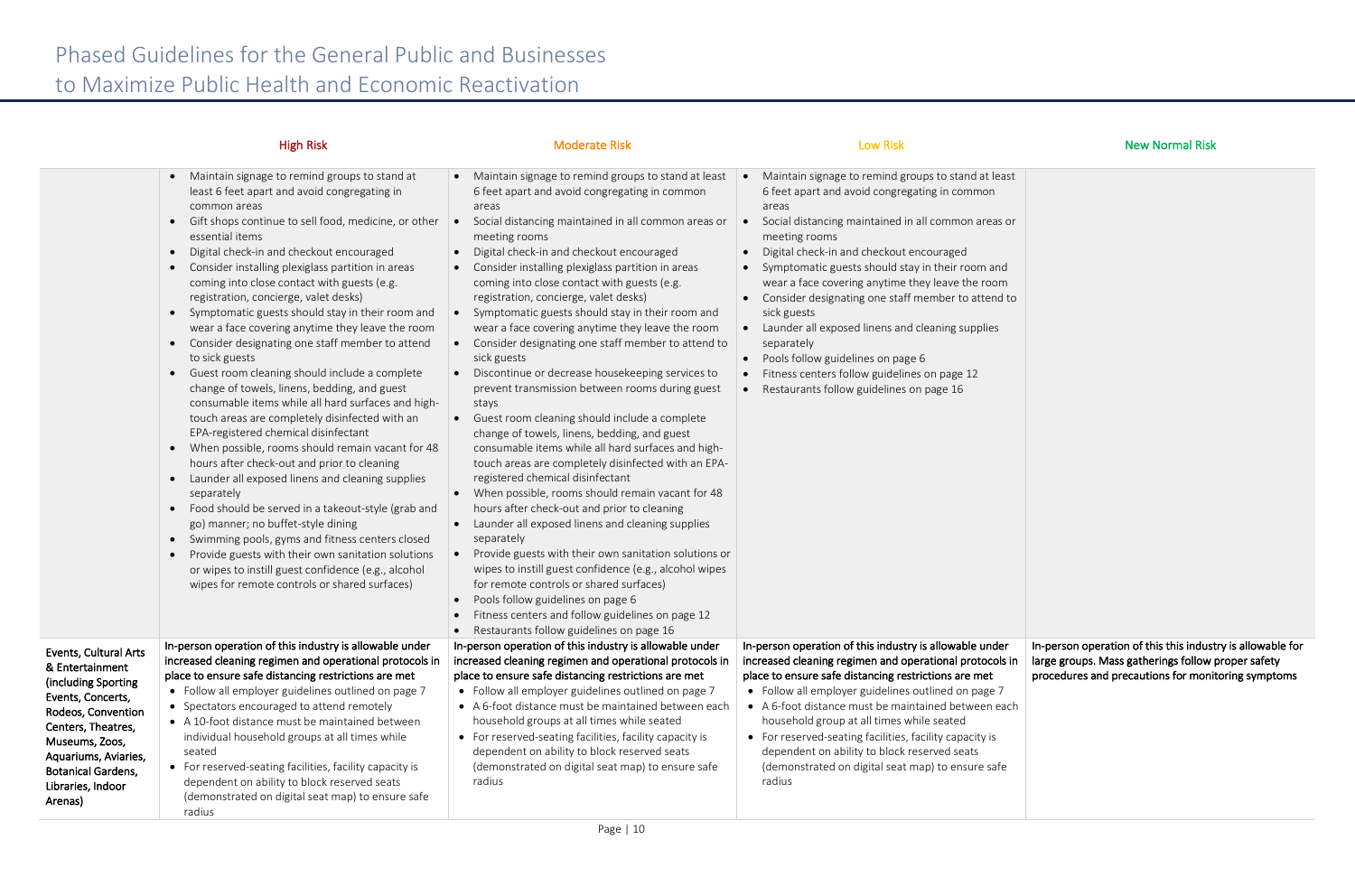|                                                                                                                                                                                                                                         | <b>High Risk</b>                                                                                                                                                                                                                                                                                                                                                                                                                                                                                                                                                                                                                                                                                                                                                                                                                                                                                                                                                                                                                                                                                                                                                                                                                                                                                                                                                                                                                        | <b>Moderate Risk</b>                                                                                                                                                                                                                                                                                                                                                                                                                                                                                                                                                                                                                                                                                                                                                                                                                                                                                                                                                                                                                                                                                                                                                                                                                                                                                                                                                                                                                                     | <b>Low Risk</b>                                                                                                                                                                                                                                                                                                                                                                                                                                                                                                                                                                                                                                          | <b>New Normal Risk</b>                                                                                                                                                 |
|-----------------------------------------------------------------------------------------------------------------------------------------------------------------------------------------------------------------------------------------|-----------------------------------------------------------------------------------------------------------------------------------------------------------------------------------------------------------------------------------------------------------------------------------------------------------------------------------------------------------------------------------------------------------------------------------------------------------------------------------------------------------------------------------------------------------------------------------------------------------------------------------------------------------------------------------------------------------------------------------------------------------------------------------------------------------------------------------------------------------------------------------------------------------------------------------------------------------------------------------------------------------------------------------------------------------------------------------------------------------------------------------------------------------------------------------------------------------------------------------------------------------------------------------------------------------------------------------------------------------------------------------------------------------------------------------------|----------------------------------------------------------------------------------------------------------------------------------------------------------------------------------------------------------------------------------------------------------------------------------------------------------------------------------------------------------------------------------------------------------------------------------------------------------------------------------------------------------------------------------------------------------------------------------------------------------------------------------------------------------------------------------------------------------------------------------------------------------------------------------------------------------------------------------------------------------------------------------------------------------------------------------------------------------------------------------------------------------------------------------------------------------------------------------------------------------------------------------------------------------------------------------------------------------------------------------------------------------------------------------------------------------------------------------------------------------------------------------------------------------------------------------------------------------|----------------------------------------------------------------------------------------------------------------------------------------------------------------------------------------------------------------------------------------------------------------------------------------------------------------------------------------------------------------------------------------------------------------------------------------------------------------------------------------------------------------------------------------------------------------------------------------------------------------------------------------------------------|------------------------------------------------------------------------------------------------------------------------------------------------------------------------|
|                                                                                                                                                                                                                                         | Maintain signage to remind groups to stand at<br>$\bullet$<br>least 6 feet apart and avoid congregating in<br>common areas<br>Gift shops continue to sell food, medicine, or other<br>$\bullet$<br>essential items<br>Digital check-in and checkout encouraged<br>$\bullet$<br>Consider installing plexiglass partition in areas<br>$\bullet$<br>coming into close contact with guests (e.g.<br>registration, concierge, valet desks)<br>Symptomatic guests should stay in their room and<br>$\bullet$<br>wear a face covering anytime they leave the room<br>Consider designating one staff member to attend<br>$\bullet$<br>to sick guests<br>Guest room cleaning should include a complete<br>$\bullet$<br>change of towels, linens, bedding, and guest<br>consumable items while all hard surfaces and high-<br>touch areas are completely disinfected with an<br>EPA-registered chemical disinfectant<br>• When possible, rooms should remain vacant for 48<br>hours after check-out and prior to cleaning<br>Launder all exposed linens and cleaning supplies<br>$\bullet$<br>separately<br>Food should be served in a takeout-style (grab and<br>$\bullet$<br>go) manner; no buffet-style dining<br>• Swimming pools, gyms and fitness centers closed<br>Provide guests with their own sanitation solutions<br>$\bullet$<br>or wipes to instill guest confidence (e.g., alcohol<br>wipes for remote controls or shared surfaces) | • Maintain signage to remind groups to stand at least<br>6 feet apart and avoid congregating in common<br>areas<br>Social distancing maintained in all common areas or<br>meeting rooms<br>Digital check-in and checkout encouraged<br>$\bullet$<br>• Consider installing plexiglass partition in areas<br>coming into close contact with guests (e.g.<br>registration, concierge, valet desks)<br>• Symptomatic guests should stay in their room and<br>wear a face covering anytime they leave the room<br>Consider designating one staff member to attend to<br>$\bullet$<br>sick guests<br>• Discontinue or decrease housekeeping services to<br>prevent transmission between rooms during guest<br>stays<br>Guest room cleaning should include a complete<br>$\bullet$<br>change of towels, linens, bedding, and guest<br>consumable items while all hard surfaces and high-<br>touch areas are completely disinfected with an EPA-<br>registered chemical disinfectant<br>• When possible, rooms should remain vacant for 48<br>hours after check-out and prior to cleaning<br>Launder all exposed linens and cleaning supplies<br>separately<br>Provide guests with their own sanitation solutions or<br>wipes to instill guest confidence (e.g., alcohol wipes<br>for remote controls or shared surfaces)<br>• Pools follow guidelines on page 6<br>Fitness centers and follow guidelines on page 12<br>Restaurants follow guidelines on page 16 | Maintain signage to remind groups to stand at least<br>6 feet apart and avoid congregating in common<br>areas<br>Social distancing maintained in all common areas or<br>meeting rooms<br>Digital check-in and checkout encouraged<br>Symptomatic guests should stay in their room and<br>$\bullet$<br>wear a face covering anytime they leave the room<br>Consider designating one staff member to attend to<br>sick guests<br>Launder all exposed linens and cleaning supplies<br>separately<br>Pools follow guidelines on page 6<br>$\bullet$<br>Fitness centers follow guidelines on page 12<br>Restaurants follow guidelines on page 16<br>$\bullet$ |                                                                                                                                                                        |
| Events, Cultural Arts<br>& Entertainment<br>(including Sporting<br>Events, Concerts,<br>Rodeos, Convention<br>Centers, Theatres,<br>Museums, Zoos,<br>Aquariums, Aviaries,<br><b>Botanical Gardens,</b><br>Libraries, Indoor<br>Arenas) | In-person operation of this industry is allowable under<br>increased cleaning regimen and operational protocols in<br>place to ensure safe distancing restrictions are met<br>• Follow all employer guidelines outlined on page 7<br>• Spectators encouraged to attend remotely<br>• A 10-foot distance must be maintained between<br>individual household groups at all times while<br>seated<br>• For reserved-seating facilities, facility capacity is<br>dependent on ability to block reserved seats<br>(demonstrated on digital seat map) to ensure safe<br>radius                                                                                                                                                                                                                                                                                                                                                                                                                                                                                                                                                                                                                                                                                                                                                                                                                                                                | In-person operation of this industry is allowable under<br>increased cleaning regimen and operational protocols in<br>place to ensure safe distancing restrictions are met<br>• Follow all employer guidelines outlined on page 7<br>• A 6-foot distance must be maintained between each<br>household groups at all times while seated<br>• For reserved-seating facilities, facility capacity is<br>dependent on ability to block reserved seats<br>(demonstrated on digital seat map) to ensure safe<br>radius                                                                                                                                                                                                                                                                                                                                                                                                                                                                                                                                                                                                                                                                                                                                                                                                                                                                                                                                         | In-person operation of this industry is allowable under<br>increased cleaning regimen and operational protocols in<br>place to ensure safe distancing restrictions are met<br>• Follow all employer guidelines outlined on page 7<br>• A 6-foot distance must be maintained between each<br>household group at all times while seated<br>• For reserved-seating facilities, facility capacity is<br>dependent on ability to block reserved seats<br>(demonstrated on digital seat map) to ensure safe<br>radius                                                                                                                                          | In-person operation of this this industry is allowable for<br>large groups. Mass gatherings follow proper safety<br>procedures and precautions for monitoring symptoms |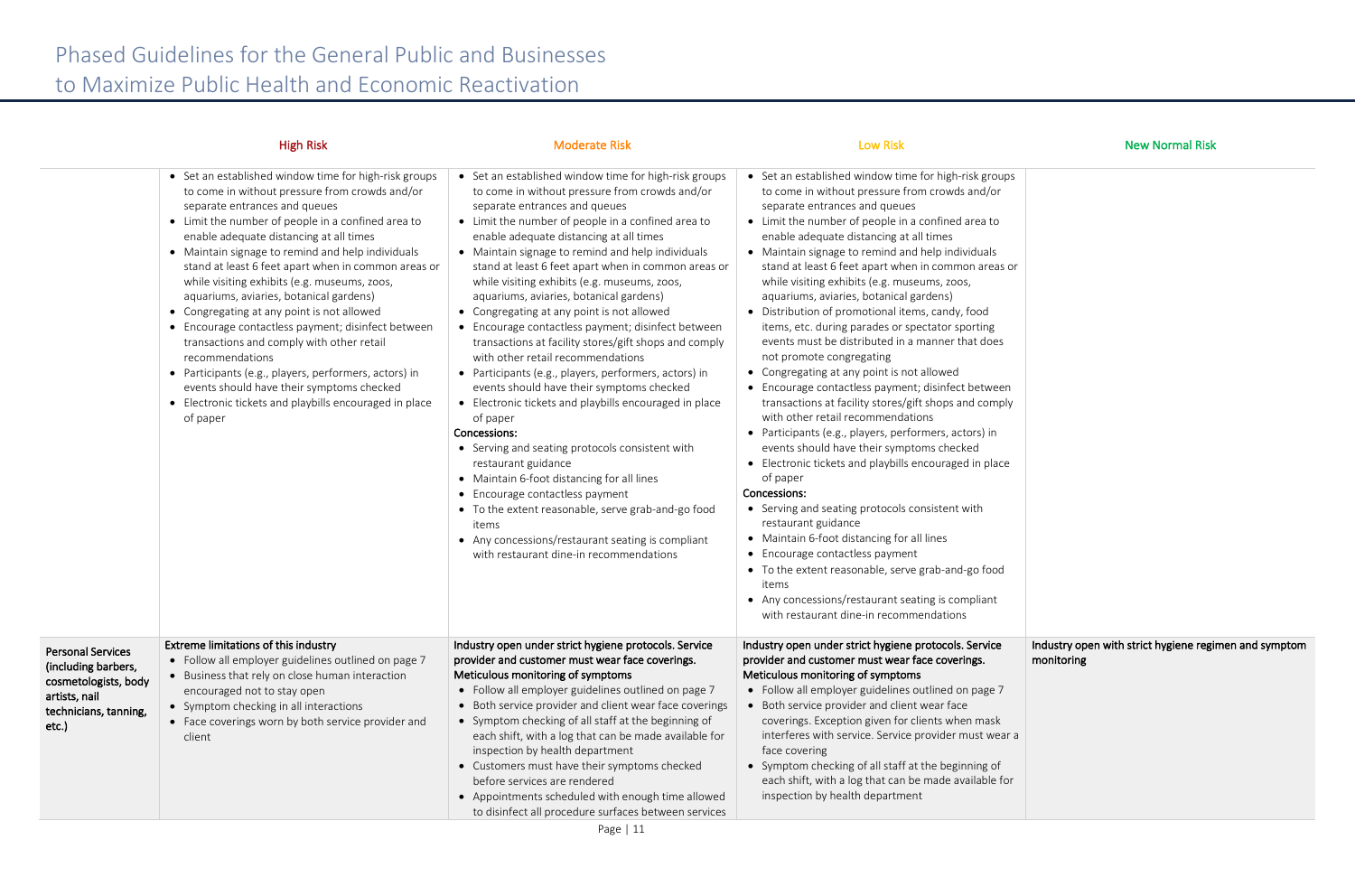|                                                                                                                            | <b>High Risk</b>                                                                                                                                                                                                                                                                                                                                                                                                                                                                                                                                                                                                                                                                                                                                                                                 | <b>Moderate Risk</b>                                                                                                                                                                                                                                                                                                                                                                                                                                                                                                                                                                                                                                                                                                                                                                                                                                                                                                                                                                                                                                                                                                                                                     | <b>Low Risk</b>                                                                                                                                                                                                                                                                                                                                                                                                                                                                                                                                                                                                                                                                                                                                                                                                                                                                                                                                                                                                                                                                                                                                                                                                                                                                                                                                                  | <b>New Normal Risk</b>                                              |
|----------------------------------------------------------------------------------------------------------------------------|--------------------------------------------------------------------------------------------------------------------------------------------------------------------------------------------------------------------------------------------------------------------------------------------------------------------------------------------------------------------------------------------------------------------------------------------------------------------------------------------------------------------------------------------------------------------------------------------------------------------------------------------------------------------------------------------------------------------------------------------------------------------------------------------------|--------------------------------------------------------------------------------------------------------------------------------------------------------------------------------------------------------------------------------------------------------------------------------------------------------------------------------------------------------------------------------------------------------------------------------------------------------------------------------------------------------------------------------------------------------------------------------------------------------------------------------------------------------------------------------------------------------------------------------------------------------------------------------------------------------------------------------------------------------------------------------------------------------------------------------------------------------------------------------------------------------------------------------------------------------------------------------------------------------------------------------------------------------------------------|------------------------------------------------------------------------------------------------------------------------------------------------------------------------------------------------------------------------------------------------------------------------------------------------------------------------------------------------------------------------------------------------------------------------------------------------------------------------------------------------------------------------------------------------------------------------------------------------------------------------------------------------------------------------------------------------------------------------------------------------------------------------------------------------------------------------------------------------------------------------------------------------------------------------------------------------------------------------------------------------------------------------------------------------------------------------------------------------------------------------------------------------------------------------------------------------------------------------------------------------------------------------------------------------------------------------------------------------------------------|---------------------------------------------------------------------|
|                                                                                                                            | • Set an established window time for high-risk groups<br>to come in without pressure from crowds and/or<br>separate entrances and queues<br>• Limit the number of people in a confined area to<br>enable adequate distancing at all times<br>• Maintain signage to remind and help individuals<br>stand at least 6 feet apart when in common areas or<br>while visiting exhibits (e.g. museums, zoos,<br>aquariums, aviaries, botanical gardens)<br>• Congregating at any point is not allowed<br>• Encourage contactless payment; disinfect between<br>transactions and comply with other retail<br>recommendations<br>• Participants (e.g., players, performers, actors) in<br>events should have their symptoms checked<br>• Electronic tickets and playbills encouraged in place<br>of paper | • Set an established window time for high-risk groups<br>to come in without pressure from crowds and/or<br>separate entrances and queues<br>• Limit the number of people in a confined area to<br>enable adequate distancing at all times<br>• Maintain signage to remind and help individuals<br>stand at least 6 feet apart when in common areas or<br>while visiting exhibits (e.g. museums, zoos,<br>aquariums, aviaries, botanical gardens)<br>• Congregating at any point is not allowed<br>• Encourage contactless payment; disinfect between<br>transactions at facility stores/gift shops and comply<br>with other retail recommendations<br>• Participants (e.g., players, performers, actors) in<br>events should have their symptoms checked<br>• Electronic tickets and playbills encouraged in place<br>of paper<br>Concessions:<br>• Serving and seating protocols consistent with<br>restaurant guidance<br>• Maintain 6-foot distancing for all lines<br>• Encourage contactless payment<br>• To the extent reasonable, serve grab-and-go food<br>items<br>• Any concessions/restaurant seating is compliant<br>with restaurant dine-in recommendations | • Set an established window time for high-risk groups<br>to come in without pressure from crowds and/or<br>separate entrances and queues<br>• Limit the number of people in a confined area to<br>enable adequate distancing at all times<br>• Maintain signage to remind and help individuals<br>stand at least 6 feet apart when in common areas or<br>while visiting exhibits (e.g. museums, zoos,<br>aquariums, aviaries, botanical gardens)<br>• Distribution of promotional items, candy, food<br>items, etc. during parades or spectator sporting<br>events must be distributed in a manner that does<br>not promote congregating<br>• Congregating at any point is not allowed<br>• Encourage contactless payment; disinfect between<br>transactions at facility stores/gift shops and comply<br>with other retail recommendations<br>• Participants (e.g., players, performers, actors) in<br>events should have their symptoms checked<br>• Electronic tickets and playbills encouraged in place<br>of paper<br>Concessions:<br>• Serving and seating protocols consistent with<br>restaurant guidance<br>• Maintain 6-foot distancing for all lines<br>• Encourage contactless payment<br>• To the extent reasonable, serve grab-and-go food<br>items<br>• Any concessions/restaurant seating is compliant<br>with restaurant dine-in recommendations |                                                                     |
| <b>Personal Services</b><br>(including barbers,<br>cosmetologists, body<br>artists, nail<br>technicians, tanning,<br>etc.) | Extreme limitations of this industry<br>• Follow all employer guidelines outlined on page 7<br>• Business that rely on close human interaction<br>encouraged not to stay open<br>• Symptom checking in all interactions<br>• Face coverings worn by both service provider and<br>client                                                                                                                                                                                                                                                                                                                                                                                                                                                                                                          | Industry open under strict hygiene protocols. Service<br>provider and customer must wear face coverings.<br>Meticulous monitoring of symptoms<br>• Follow all employer guidelines outlined on page 7<br>• Both service provider and client wear face coverings<br>• Symptom checking of all staff at the beginning of<br>each shift, with a log that can be made available for<br>inspection by health department<br>• Customers must have their symptoms checked<br>before services are rendered<br>• Appointments scheduled with enough time allowed<br>to disinfect all procedure surfaces between services                                                                                                                                                                                                                                                                                                                                                                                                                                                                                                                                                           | Industry open under strict hygiene protocols. Service<br>provider and customer must wear face coverings.<br>Meticulous monitoring of symptoms<br>• Follow all employer guidelines outlined on page 7<br>Both service provider and client wear face<br>coverings. Exception given for clients when mask<br>interferes with service. Service provider must wear a<br>face covering<br>• Symptom checking of all staff at the beginning of<br>each shift, with a log that can be made available for<br>inspection by health department                                                                                                                                                                                                                                                                                                                                                                                                                                                                                                                                                                                                                                                                                                                                                                                                                              | Industry open with strict hygiene regimen and symptom<br>monitoring |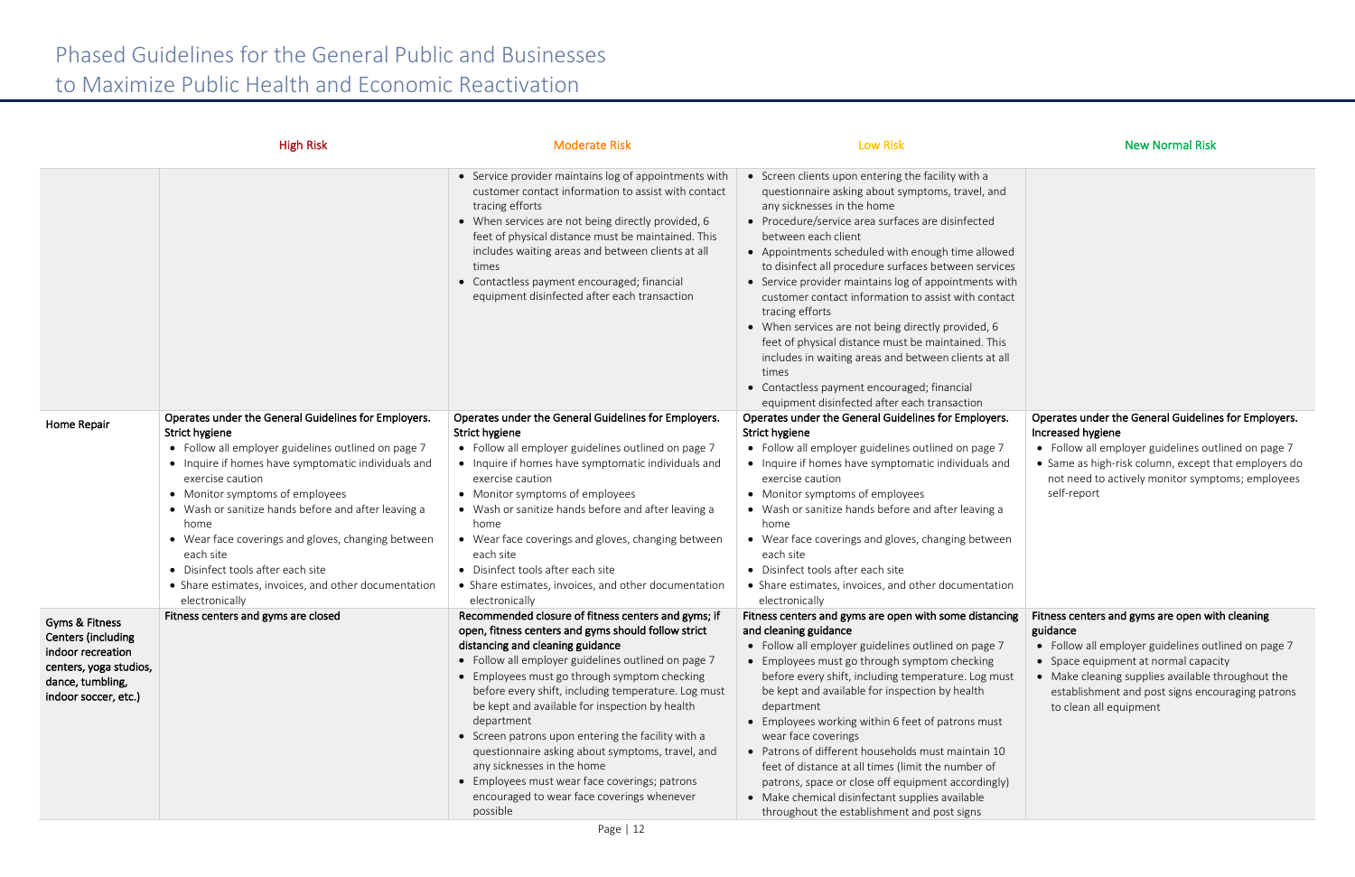|                           | <b>High Risk</b>                                                       | <b>Moderate Risk</b>                                                                                                                                                                                                                                                                                                                                                                                     | <b>Low Risk</b>                                                                                                                                                                                                                                                                                                                                                                                                                                                                                                                                                                                                                                                                                                                              | <b>New Normal Risk</b>                                      |
|---------------------------|------------------------------------------------------------------------|----------------------------------------------------------------------------------------------------------------------------------------------------------------------------------------------------------------------------------------------------------------------------------------------------------------------------------------------------------------------------------------------------------|----------------------------------------------------------------------------------------------------------------------------------------------------------------------------------------------------------------------------------------------------------------------------------------------------------------------------------------------------------------------------------------------------------------------------------------------------------------------------------------------------------------------------------------------------------------------------------------------------------------------------------------------------------------------------------------------------------------------------------------------|-------------------------------------------------------------|
|                           |                                                                        | • Service provider maintains log of appointments with<br>customer contact information to assist with contact<br>tracing efforts<br>• When services are not being directly provided, 6<br>feet of physical distance must be maintained. This<br>includes waiting areas and between clients at all<br>times<br>• Contactless payment encouraged; financial<br>equipment disinfected after each transaction | • Screen clients upon entering the facility with a<br>questionnaire asking about symptoms, travel, and<br>any sicknesses in the home<br>• Procedure/service area surfaces are disinfected<br>between each client<br>• Appointments scheduled with enough time allowed<br>to disinfect all procedure surfaces between services<br>• Service provider maintains log of appointments with<br>customer contact information to assist with contact<br>tracing efforts<br>• When services are not being directly provided, 6<br>feet of physical distance must be maintained. This<br>includes in waiting areas and between clients at all<br>times<br>• Contactless payment encouraged; financial<br>equipment disinfected after each transaction |                                                             |
| Home Repair               | Operates under the General Guidelines for Employers.<br>Strict hygiene | Operates under the General Guidelines for Employers.<br>Strict hygiene                                                                                                                                                                                                                                                                                                                                   | Operates under the General Guidelines for Employers.<br>Strict hygiene                                                                                                                                                                                                                                                                                                                                                                                                                                                                                                                                                                                                                                                                       | Operates under the General Guideline<br>Increased hygiene   |
|                           | • Follow all employer guidelines outlined on page 7                    | • Follow all employer guidelines outlined on page 7                                                                                                                                                                                                                                                                                                                                                      | • Follow all employer guidelines outlined on page 7                                                                                                                                                                                                                                                                                                                                                                                                                                                                                                                                                                                                                                                                                          | • Follow all employer guidelines out                        |
|                           | • Inquire if homes have symptomatic individuals and                    | • Inquire if homes have symptomatic individuals and                                                                                                                                                                                                                                                                                                                                                      | • Inquire if homes have symptomatic individuals and                                                                                                                                                                                                                                                                                                                                                                                                                                                                                                                                                                                                                                                                                          | • Same as high-risk column, except tl                       |
|                           | exercise caution                                                       | exercise caution                                                                                                                                                                                                                                                                                                                                                                                         | exercise caution                                                                                                                                                                                                                                                                                                                                                                                                                                                                                                                                                                                                                                                                                                                             | not need to actively monitor sympt                          |
|                           | • Monitor symptoms of employees                                        | • Monitor symptoms of employees                                                                                                                                                                                                                                                                                                                                                                          | • Monitor symptoms of employees                                                                                                                                                                                                                                                                                                                                                                                                                                                                                                                                                                                                                                                                                                              | self-report                                                 |
|                           | • Wash or sanitize hands before and after leaving a                    | • Wash or sanitize hands before and after leaving a                                                                                                                                                                                                                                                                                                                                                      | • Wash or sanitize hands before and after leaving a                                                                                                                                                                                                                                                                                                                                                                                                                                                                                                                                                                                                                                                                                          |                                                             |
|                           | home                                                                   | home<br>• Wear face coverings and gloves, changing between                                                                                                                                                                                                                                                                                                                                               | home                                                                                                                                                                                                                                                                                                                                                                                                                                                                                                                                                                                                                                                                                                                                         |                                                             |
|                           | • Wear face coverings and gloves, changing between<br>each site        | each site                                                                                                                                                                                                                                                                                                                                                                                                | • Wear face coverings and gloves, changing between<br>each site                                                                                                                                                                                                                                                                                                                                                                                                                                                                                                                                                                                                                                                                              |                                                             |
|                           | • Disinfect tools after each site                                      | • Disinfect tools after each site                                                                                                                                                                                                                                                                                                                                                                        | • Disinfect tools after each site                                                                                                                                                                                                                                                                                                                                                                                                                                                                                                                                                                                                                                                                                                            |                                                             |
|                           | • Share estimates, invoices, and other documentation                   | • Share estimates, invoices, and other documentation                                                                                                                                                                                                                                                                                                                                                     | • Share estimates, invoices, and other documentation                                                                                                                                                                                                                                                                                                                                                                                                                                                                                                                                                                                                                                                                                         |                                                             |
|                           | electronically                                                         | electronically                                                                                                                                                                                                                                                                                                                                                                                           | electronically                                                                                                                                                                                                                                                                                                                                                                                                                                                                                                                                                                                                                                                                                                                               |                                                             |
| <b>Gyms &amp; Fitness</b> | Fitness centers and gyms are closed                                    | Recommended closure of fitness centers and gyms; if                                                                                                                                                                                                                                                                                                                                                      | Fitness centers and gyms are open with some distancing Fitness centers and gyms are open wit                                                                                                                                                                                                                                                                                                                                                                                                                                                                                                                                                                                                                                                 |                                                             |
| Centers (including        |                                                                        | open, fitness centers and gyms should follow strict                                                                                                                                                                                                                                                                                                                                                      | and cleaning guidance                                                                                                                                                                                                                                                                                                                                                                                                                                                                                                                                                                                                                                                                                                                        | guidance                                                    |
| indoor recreation         |                                                                        | distancing and cleaning guidance                                                                                                                                                                                                                                                                                                                                                                         | • Follow all employer guidelines outlined on page 7                                                                                                                                                                                                                                                                                                                                                                                                                                                                                                                                                                                                                                                                                          | • Follow all employer guidelines out                        |
| centers, yoga studios,    |                                                                        | • Follow all employer guidelines outlined on page 7                                                                                                                                                                                                                                                                                                                                                      | • Employees must go through symptom checking                                                                                                                                                                                                                                                                                                                                                                                                                                                                                                                                                                                                                                                                                                 | • Space equipment at normal capac                           |
| dance, tumbling,          |                                                                        | • Employees must go through symptom checking<br>before every shift, including temperature. Log must                                                                                                                                                                                                                                                                                                      | before every shift, including temperature. Log must<br>be kept and available for inspection by health                                                                                                                                                                                                                                                                                                                                                                                                                                                                                                                                                                                                                                        | • Make cleaning supplies available t                        |
| indoor soccer, etc.)      |                                                                        | be kept and available for inspection by health                                                                                                                                                                                                                                                                                                                                                           | department                                                                                                                                                                                                                                                                                                                                                                                                                                                                                                                                                                                                                                                                                                                                   | establishment and post signs enco<br>to clean all equipment |
|                           |                                                                        | department                                                                                                                                                                                                                                                                                                                                                                                               | • Employees working within 6 feet of patrons must                                                                                                                                                                                                                                                                                                                                                                                                                                                                                                                                                                                                                                                                                            |                                                             |
|                           |                                                                        | • Screen patrons upon entering the facility with a                                                                                                                                                                                                                                                                                                                                                       | wear face coverings                                                                                                                                                                                                                                                                                                                                                                                                                                                                                                                                                                                                                                                                                                                          |                                                             |
|                           |                                                                        | questionnaire asking about symptoms, travel, and                                                                                                                                                                                                                                                                                                                                                         | • Patrons of different households must maintain 10                                                                                                                                                                                                                                                                                                                                                                                                                                                                                                                                                                                                                                                                                           |                                                             |
|                           |                                                                        | any sicknesses in the home                                                                                                                                                                                                                                                                                                                                                                               | feet of distance at all times (limit the number of                                                                                                                                                                                                                                                                                                                                                                                                                                                                                                                                                                                                                                                                                           |                                                             |
|                           |                                                                        | • Employees must wear face coverings; patrons                                                                                                                                                                                                                                                                                                                                                            | patrons, space or close off equipment accordingly)                                                                                                                                                                                                                                                                                                                                                                                                                                                                                                                                                                                                                                                                                           |                                                             |
|                           |                                                                        | encouraged to wear face coverings whenever                                                                                                                                                                                                                                                                                                                                                               | • Make chemical disinfectant supplies available                                                                                                                                                                                                                                                                                                                                                                                                                                                                                                                                                                                                                                                                                              |                                                             |
|                           |                                                                        | possible                                                                                                                                                                                                                                                                                                                                                                                                 | throughout the establishment and post signs                                                                                                                                                                                                                                                                                                                                                                                                                                                                                                                                                                                                                                                                                                  |                                                             |

| ١d                                        |                                                                                                          |
|-------------------------------------------|----------------------------------------------------------------------------------------------------------|
| ved<br>ices<br>with<br>tact<br>ıis<br>all |                                                                                                          |
| rs.                                       | Operates under the General Guidelines for Employers.                                                     |
| 7                                         | Increased hygiene<br>Follow all employer guidelines outlined on page 7                                   |
| nd                                        | • Same as high-risk column, except that employers do<br>not need to actively monitor symptoms; employees |
| a                                         | self-report                                                                                              |
|                                           |                                                                                                          |
| en؛                                       |                                                                                                          |
| ion:                                      |                                                                                                          |
| cing                                      | Fitness centers and gyms are open with cleaning<br>guidance                                              |
| 7                                         | Follow all employer guidelines outlined on page 7<br>Space equipment at normal capacity                  |
| านรt                                      | Make cleaning supplies available throughout the<br>establishment and post signs encouraging patrons      |
| it                                        | to clean all equipment                                                                                   |
| $\overline{0}$                            |                                                                                                          |
| :ly)                                      |                                                                                                          |
|                                           |                                                                                                          |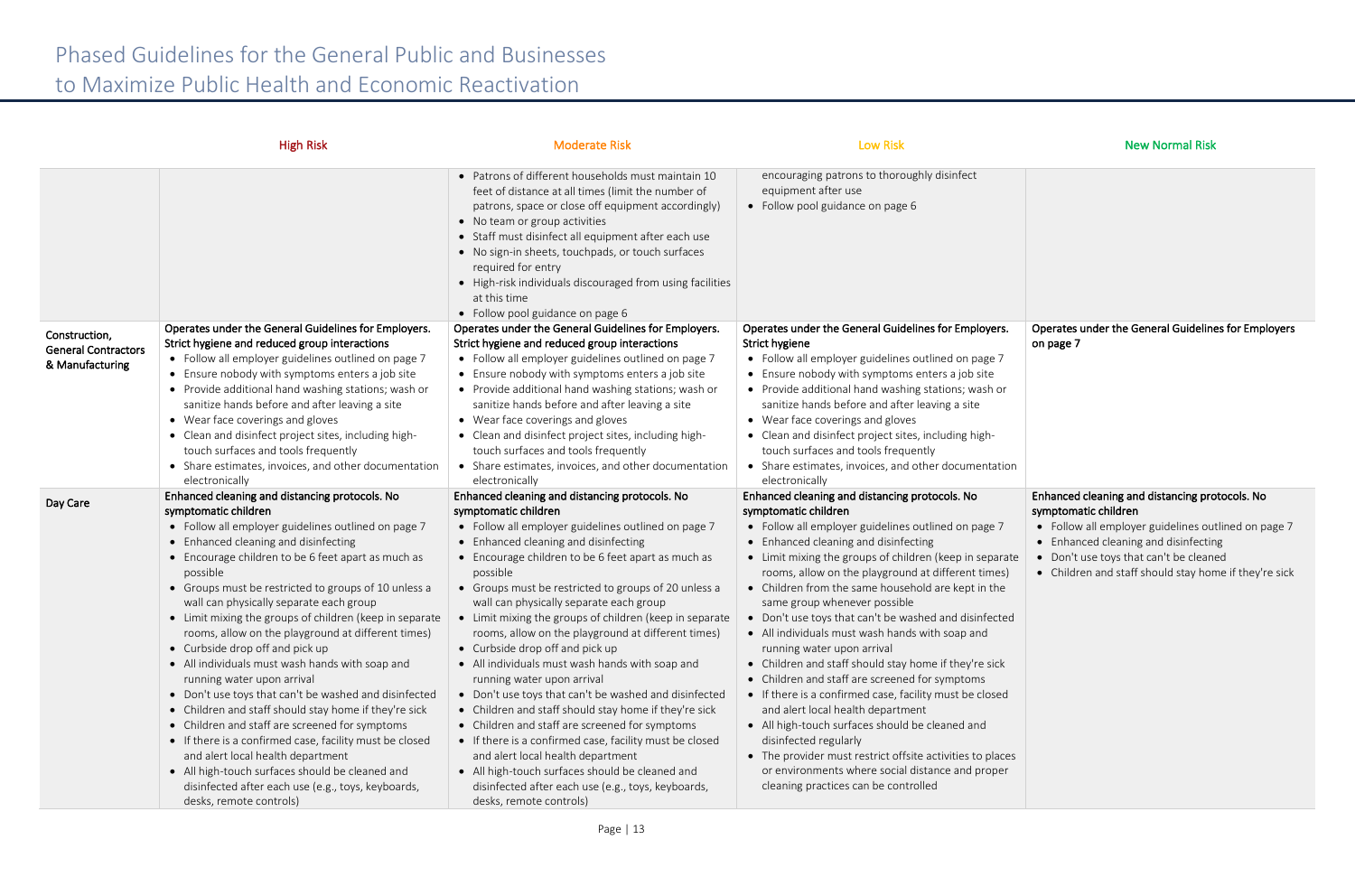|                                                                | <b>High Risk</b>                                                                                                                                                                                                                                                                                                                                                                                                                                                                                                                                                                                                                                                                                                                                                                                                                                                                                                                                                                        | <b>Moderate Risk</b>                                                                                                                                                                                                                                                                                                                                                                                                                                                                                                                                                                                                                                                                                                                                                                                                                                                                                                                                                                    | <b>Low Risk</b>                                                                                                                                                                                                                                                                                                                                                                                                                                                                                                                                                                                                                                                                                                                                                                                                                                                                                                                                                        | <b>New Normal Risk</b>                                                                                                                                                                                                                    |
|----------------------------------------------------------------|-----------------------------------------------------------------------------------------------------------------------------------------------------------------------------------------------------------------------------------------------------------------------------------------------------------------------------------------------------------------------------------------------------------------------------------------------------------------------------------------------------------------------------------------------------------------------------------------------------------------------------------------------------------------------------------------------------------------------------------------------------------------------------------------------------------------------------------------------------------------------------------------------------------------------------------------------------------------------------------------|-----------------------------------------------------------------------------------------------------------------------------------------------------------------------------------------------------------------------------------------------------------------------------------------------------------------------------------------------------------------------------------------------------------------------------------------------------------------------------------------------------------------------------------------------------------------------------------------------------------------------------------------------------------------------------------------------------------------------------------------------------------------------------------------------------------------------------------------------------------------------------------------------------------------------------------------------------------------------------------------|------------------------------------------------------------------------------------------------------------------------------------------------------------------------------------------------------------------------------------------------------------------------------------------------------------------------------------------------------------------------------------------------------------------------------------------------------------------------------------------------------------------------------------------------------------------------------------------------------------------------------------------------------------------------------------------------------------------------------------------------------------------------------------------------------------------------------------------------------------------------------------------------------------------------------------------------------------------------|-------------------------------------------------------------------------------------------------------------------------------------------------------------------------------------------------------------------------------------------|
|                                                                |                                                                                                                                                                                                                                                                                                                                                                                                                                                                                                                                                                                                                                                                                                                                                                                                                                                                                                                                                                                         | • Patrons of different households must maintain 10<br>feet of distance at all times (limit the number of<br>patrons, space or close off equipment accordingly)<br>• No team or group activities<br>• Staff must disinfect all equipment after each use<br>• No sign-in sheets, touchpads, or touch surfaces<br>required for entry<br>• High-risk individuals discouraged from using facilities<br>at this time<br>• Follow pool guidance on page 6                                                                                                                                                                                                                                                                                                                                                                                                                                                                                                                                      | encouraging patrons to thoroughly disinfect<br>equipment after use<br>• Follow pool guidance on page 6                                                                                                                                                                                                                                                                                                                                                                                                                                                                                                                                                                                                                                                                                                                                                                                                                                                                 |                                                                                                                                                                                                                                           |
| Construction,<br><b>General Contractors</b><br>& Manufacturing | Operates under the General Guidelines for Employers.<br>Strict hygiene and reduced group interactions<br>• Follow all employer guidelines outlined on page 7<br>• Ensure nobody with symptoms enters a job site<br>• Provide additional hand washing stations; wash or<br>sanitize hands before and after leaving a site<br>• Wear face coverings and gloves<br>• Clean and disinfect project sites, including high-<br>touch surfaces and tools frequently<br>• Share estimates, invoices, and other documentation<br>electronically                                                                                                                                                                                                                                                                                                                                                                                                                                                   | Operates under the General Guidelines for Employers.<br>Strict hygiene and reduced group interactions<br>• Follow all employer guidelines outlined on page 7<br>• Ensure nobody with symptoms enters a job site<br>• Provide additional hand washing stations; wash or<br>sanitize hands before and after leaving a site<br>• Wear face coverings and gloves<br>• Clean and disinfect project sites, including high-<br>touch surfaces and tools frequently<br>• Share estimates, invoices, and other documentation<br>electronically                                                                                                                                                                                                                                                                                                                                                                                                                                                   | Operates under the General Guidelines for Employers.<br>Strict hygiene<br>• Follow all employer guidelines outlined on page 7<br>• Ensure nobody with symptoms enters a job site<br>• Provide additional hand washing stations; wash or<br>sanitize hands before and after leaving a site<br>• Wear face coverings and gloves<br>• Clean and disinfect project sites, including high-<br>touch surfaces and tools frequently<br>• Share estimates, invoices, and other documentation<br>electronically                                                                                                                                                                                                                                                                                                                                                                                                                                                                 | <b>Operates under the General Guideline</b><br>on page 7                                                                                                                                                                                  |
| Day Care                                                       | Enhanced cleaning and distancing protocols. No<br>symptomatic children<br>• Follow all employer guidelines outlined on page 7<br>• Enhanced cleaning and disinfecting<br>• Encourage children to be 6 feet apart as much as<br>possible<br>• Groups must be restricted to groups of 10 unless a<br>wall can physically separate each group<br>• Limit mixing the groups of children (keep in separate<br>rooms, allow on the playground at different times)<br>• Curbside drop off and pick up<br>• All individuals must wash hands with soap and<br>running water upon arrival<br>• Don't use toys that can't be washed and disinfected<br>• Children and staff should stay home if they're sick<br>• Children and staff are screened for symptoms<br>• If there is a confirmed case, facility must be closed<br>and alert local health department<br>• All high-touch surfaces should be cleaned and<br>disinfected after each use (e.g., toys, keyboards,<br>desks, remote controls) | Enhanced cleaning and distancing protocols. No<br>symptomatic children<br>• Follow all employer guidelines outlined on page 7<br>• Enhanced cleaning and disinfecting<br>• Encourage children to be 6 feet apart as much as<br>possible<br>• Groups must be restricted to groups of 20 unless a<br>wall can physically separate each group<br>• Limit mixing the groups of children (keep in separate<br>rooms, allow on the playground at different times)<br>• Curbside drop off and pick up<br>• All individuals must wash hands with soap and<br>running water upon arrival<br>• Don't use toys that can't be washed and disinfected<br>• Children and staff should stay home if they're sick<br>• Children and staff are screened for symptoms<br>• If there is a confirmed case, facility must be closed<br>and alert local health department<br>• All high-touch surfaces should be cleaned and<br>disinfected after each use (e.g., toys, keyboards,<br>desks, remote controls) | Enhanced cleaning and distancing protocols. No<br>symptomatic children<br>• Follow all employer guidelines outlined on page 7<br>• Enhanced cleaning and disinfecting<br>• Limit mixing the groups of children (keep in separate<br>rooms, allow on the playground at different times)<br>• Children from the same household are kept in the<br>same group whenever possible<br>• Don't use toys that can't be washed and disinfected<br>• All individuals must wash hands with soap and<br>running water upon arrival<br>• Children and staff should stay home if they're sick<br>• Children and staff are screened for symptoms<br>• If there is a confirmed case, facility must be closed<br>and alert local health department<br>• All high-touch surfaces should be cleaned and<br>disinfected regularly<br>• The provider must restrict offsite activities to places<br>or environments where social distance and proper<br>cleaning practices can be controlled | Enhanced cleaning and distancing prot<br>symptomatic children<br>• Follow all employer guidelines out<br>• Enhanced cleaning and disinfecting<br>Don't use toys that can't be cleane<br>$\bullet$<br>• Children and staff should stay hom |

| on page 7                                                                                                                                                                                                                                                                                  |                                                     |
|--------------------------------------------------------------------------------------------------------------------------------------------------------------------------------------------------------------------------------------------------------------------------------------------|-----------------------------------------------------|
|                                                                                                                                                                                                                                                                                            |                                                     |
|                                                                                                                                                                                                                                                                                            |                                                     |
|                                                                                                                                                                                                                                                                                            |                                                     |
|                                                                                                                                                                                                                                                                                            |                                                     |
|                                                                                                                                                                                                                                                                                            |                                                     |
| Enhanced cleaning and distancing protocols. No<br>symptomatic children<br>Follow all employer guidelines outlined on page 7<br>Enhanced cleaning and disinfecting<br>$\bullet$<br>Don't use toys that can't be cleaned<br>Children and staff should stay home if they're sick<br>$\bullet$ |                                                     |
|                                                                                                                                                                                                                                                                                            |                                                     |
|                                                                                                                                                                                                                                                                                            |                                                     |
|                                                                                                                                                                                                                                                                                            |                                                     |
|                                                                                                                                                                                                                                                                                            | Operates under the General Guidelines for Employers |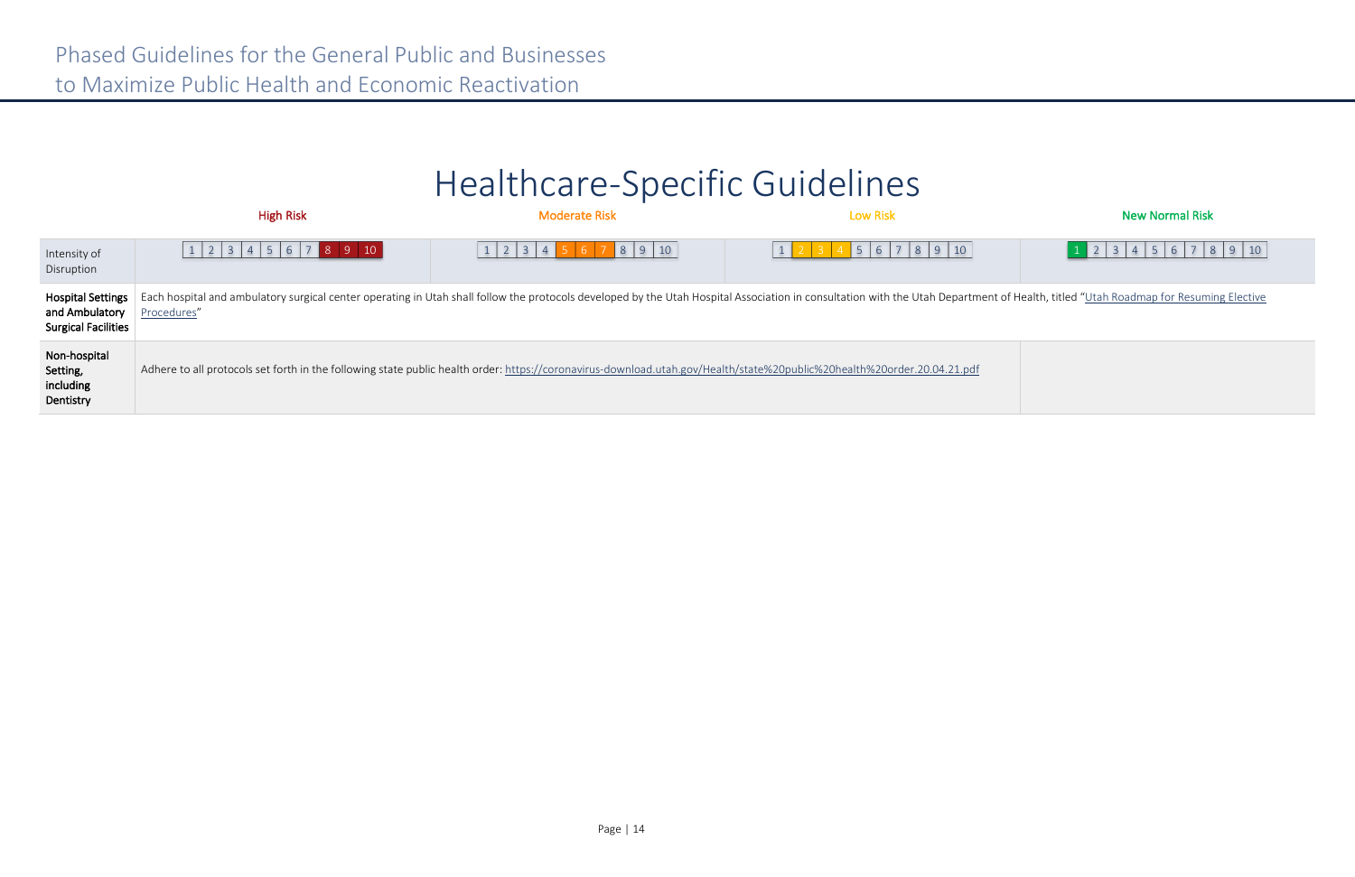## Healthcare-Specific Guidelines

|                                                                          | <b>High Risk</b>                                                                                                                                                                                                                              | <b>Moderate Risk</b> | <b>Low Risk</b> | <b>New Normal Risk</b> |  |  |
|--------------------------------------------------------------------------|-----------------------------------------------------------------------------------------------------------------------------------------------------------------------------------------------------------------------------------------------|----------------------|-----------------|------------------------|--|--|
| Intensity of<br>Disruption                                               | 1 2 3 4 5 6 7 8 9 10                                                                                                                                                                                                                          | 8910                 | 5 6 7 8 9 10    | $1$ 2 3 4 5 6 7 8 9 10 |  |  |
| <b>Hospital Settings</b><br>and Ambulatory<br><b>Surgical Facilities</b> | Each hospital and ambulatory surgical center operating in Utah shall follow the protocols developed by the Utah Hospital Association in consultation with the Utah Department of Health, titled "Utah Roadmap for Resuming Ele<br>Procedures" |                      |                 |                        |  |  |
| Non-hospital<br>Setting,<br>including<br>Dentistry                       | Adhere to all protocols set forth in the following state public health order: https://coronavirus-download.utah.gov/Health/state%20public%20health%20order.20.04.21.pdf                                                                       |                      |                 |                        |  |  |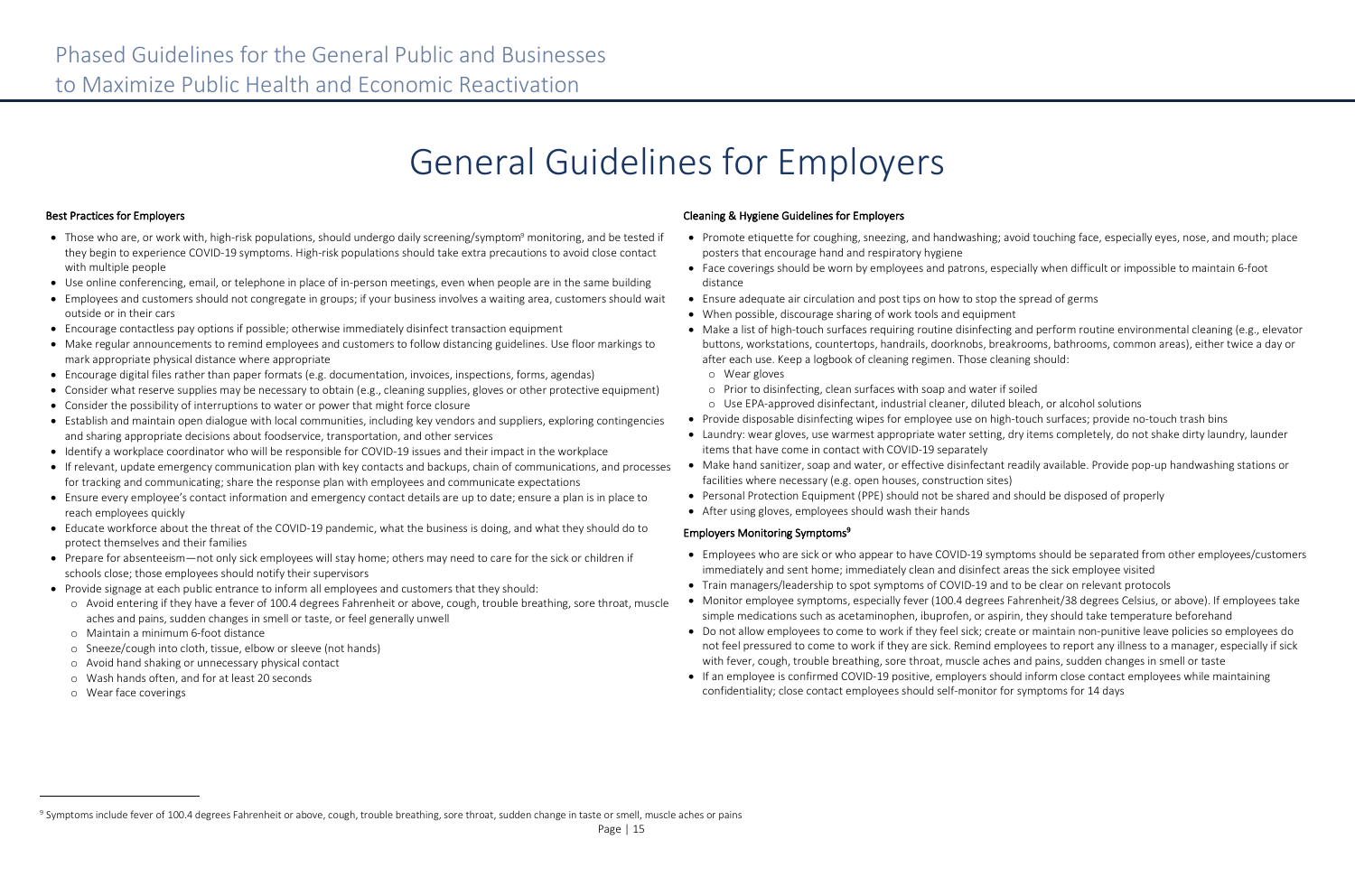# General Guidelines for Employers

### Best Practices for Employers

- Those who are, or work with, high-risk populations, should undergo daily screening/symptom<sup>9</sup> monitoring, and be tested if they begin to experience COVID-19 symptoms. High-risk populations should take extra precautions to avoid close contact with multiple people
- Use online conferencing, email, or telephone in place of in-person meetings, even when people are in the same building
- Employees and customers should not congregate in groups; if your business involves a waiting area, customers should wait outside or in their cars
- Encourage contactless pay options if possible; otherwise immediately disinfect transaction equipment
- Make regular announcements to remind employees and customers to follow distancing guidelines. Use floor markings to mark appropriate physical distance where appropriate
- Encourage digital files rather than paper formats (e.g. documentation, invoices, inspections, forms, agendas)
- Consider what reserve supplies may be necessary to obtain (e.g., cleaning supplies, gloves or other protective equipment)
- Consider the possibility of interruptions to water or power that might force closure
- Establish and maintain open dialogue with local communities, including key vendors and suppliers, exploring contingencies and sharing appropriate decisions about foodservice, transportation, and other services
- Identify a workplace coordinator who will be responsible for COVID-19 issues and their impact in the workplace
- If relevant, update emergency communication plan with key contacts and backups, chain of communications, and processes for tracking and communicating; share the response plan with employees and communicate expectations
- Ensure every employee's contact information and emergency contact details are up to date; ensure a plan is in place to reach employees quickly
- Educate workforce about the threat of the COVID-19 pandemic, what the business is doing, and what they should do to protect themselves and their families
- Prepare for absenteeism—not only sick employees will stay home; others may need to care for the sick or children if schools close; those employees should notify their supervisors
- Provide signage at each public entrance to inform all employees and customers that they should:
	- o Avoid entering if they have a fever of 100.4 degrees Fahrenheit or above, cough, trouble breathing, sore throat, muscle aches and pains, sudden changes in smell or taste, or feel generally unwell
	- o Maintain a minimum 6-foot distance
	- o Sneeze/cough into cloth, tissue, elbow or sleeve (not hands)
	- o Avoid hand shaking or unnecessary physical contact
	- o Wash hands often, and for at least 20 seconds
	- o Wear face coverings

 $\overline{a}$ 

### Cleaning & Hygiene Guidelines for Employers

buttons, workstations, countertops, handrails, doorknobs, breakrooms, bathrooms, common areas), either twice a day or

- Promote etiquette for coughing, sneezing, and handwashing; avoid touching face, especially eyes, nose, and mouth; place posters that encourage hand and respiratory hygiene
- Face coverings should be worn by employees and patrons, especially when difficult or impossible to maintain 6-foot distance
- Ensure adequate air circulation and post tips on how to stop the spread of germs
- When possible, discourage sharing of work tools and equipment
- Make a list of high-touch surfaces requiring routine disinfecting and perform routine environmental cleaning (e.g., elevator after each use. Keep a logbook of cleaning regimen. Those cleaning should: o Wear gloves
	- o Prior to disinfecting, clean surfaces with soap and water if soiled
- o Use EPA-approved disinfectant, industrial cleaner, diluted bleach, or alcohol solutions
- Provide disposable disinfecting wipes for employee use on high-touch surfaces; provide no-touch trash bins
- Laundry: wear gloves, use warmest appropriate water setting, dry items completely, do not shake dirty laundry, launder items that have come in contact with COVID-19 separately
- Make hand sanitizer, soap and water, or effective disinfectant readily available. Provide pop-up handwashing stations or facilities where necessary (e.g. open houses, construction sites)
- Personal Protection Equipment (PPE) should not be shared and should be disposed of properly
- After using gloves, employees should wash their hands

### Employers Monitoring Symptoms<sup>9</sup>

• Employees who are sick or who appear to have COVID-19 symptoms should be separated from other employees/customers

- immediately and sent home; immediately clean and disinfect areas the sick employee visited
- Train managers/leadership to spot symptoms of COVID-19 and to be clear on relevant protocols
- Monitor employee symptoms, especially fever (100.4 degrees Fahrenheit/38 degrees Celsius, or above). If employees take simple medications such as acetaminophen, ibuprofen, or aspirin, they should take temperature beforehand
- Do not allow employees to come to work if they feel sick; create or maintain non-punitive leave policies so employees do not feel pressured to come to work if they are sick. Remind employees to report any illness to a manager, especially if sick with fever, cough, trouble breathing, sore throat, muscle aches and pains, sudden changes in smell or taste
- If an employee is confirmed COVID-19 positive, employers should inform close contact employees while maintaining confidentiality; close contact employees should self-monitor for symptoms for 14 days

<sup>&</sup>lt;sup>9</sup> Symptoms include fever of 100.4 degrees Fahrenheit or above, cough, trouble breathing, sore throat, sudden change in taste or smell, muscle aches or pains